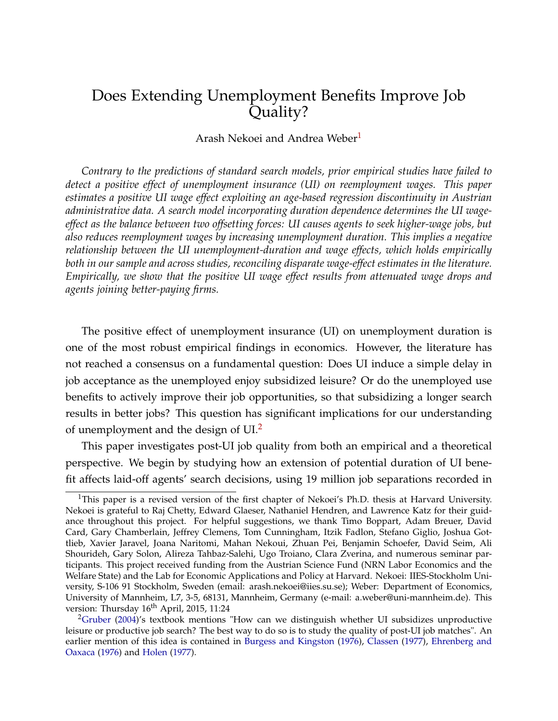## <span id="page-0-3"></span><span id="page-0-2"></span>Does Extending Unemployment Benefits Improve Job Quality?

#### Arash Nekoei and Andrea Weber<sup>[1](#page-0-0)</sup>

*Contrary to the predictions of standard search models, prior empirical studies have failed to detect a positive effect of unemployment insurance (UI) on reemployment wages. This paper estimates a positive UI wage effect exploiting an age-based regression discontinuity in Austrian administrative data. A search model incorporating duration dependence determines the UI wageeffect as the balance between two offsetting forces: UI causes agents to seek higher-wage jobs, but also reduces reemployment wages by increasing unemployment duration. This implies a negative relationship between the UI unemployment-duration and wage effects, which holds empirically both in our sample and across studies, reconciling disparate wage-effect estimates in the literature. Empirically, we show that the positive UI wage effect results from attenuated wage drops and agents joining better-paying firms.*

The positive effect of unemployment insurance (UI) on unemployment duration is one of the most robust empirical findings in economics. However, the literature has not reached a consensus on a fundamental question: Does UI induce a simple delay in job acceptance as the unemployed enjoy subsidized leisure? Or do the unemployed use benefits to actively improve their job opportunities, so that subsidizing a longer search results in better jobs? This question has significant implications for our understanding of unemployment and the design of UI.[2](#page-0-1)

This paper investigates post-UI job quality from both an empirical and a theoretical perspective. We begin by studying how an extension of potential duration of UI benefit affects laid-off agents' search decisions, using 19 million job separations recorded in

<span id="page-0-0"></span><sup>&</sup>lt;sup>1</sup>This paper is a revised version of the first chapter of Nekoei's Ph.D. thesis at Harvard University. Nekoei is grateful to Raj Chetty, Edward Glaeser, Nathaniel Hendren, and Lawrence Katz for their guidance throughout this project. For helpful suggestions, we thank Timo Boppart, Adam Breuer, David Card, Gary Chamberlain, Jeffrey Clemens, Tom Cunningham, Itzik Fadlon, Stefano Giglio, Joshua Gottlieb, Xavier Jaravel, Joana Naritomi, Mahan Nekoui, Zhuan Pei, Benjamin Schoefer, David Seim, Ali Shourideh, Gary Solon, Alireza Tahbaz-Salehi, Ugo Troiano, Clara Zverina, and numerous seminar participants. This project received funding from the Austrian Science Fund (NRN Labor Economics and the Welfare State) and the Lab for Economic Applications and Policy at Harvard. Nekoei: IIES-Stockholm University, S-106 91 Stockholm, Sweden (email: arash.nekoei@iies.su.se); Weber: Department of Economics, University of Mannheim, L7, 3-5, 68131, Mannheim, Germany (e-mail: a.weber@uni-mannheim.de). This version: Thursday 16<sup>th</sup> April, 2015, 11:24

<span id="page-0-1"></span><sup>&</sup>lt;sup>2</sup>[Gruber](#page-23-0) [\(2004\)](#page-23-0)'s textbook mentions "How can we distinguish whether UI subsidizes unproductive leisure or productive job search? The best way to do so is to study the quality of post-UI job matches". An earlier mention of this idea is contained in [Burgess and Kingston](#page-22-0) [\(1976\)](#page-22-0), [Classen](#page-23-1) [\(1977\)](#page-23-1), [Ehrenberg and](#page-23-2) [Oaxaca](#page-23-2) [\(1976\)](#page-23-2) and [Holen](#page-23-3) [\(1977\)](#page-23-3).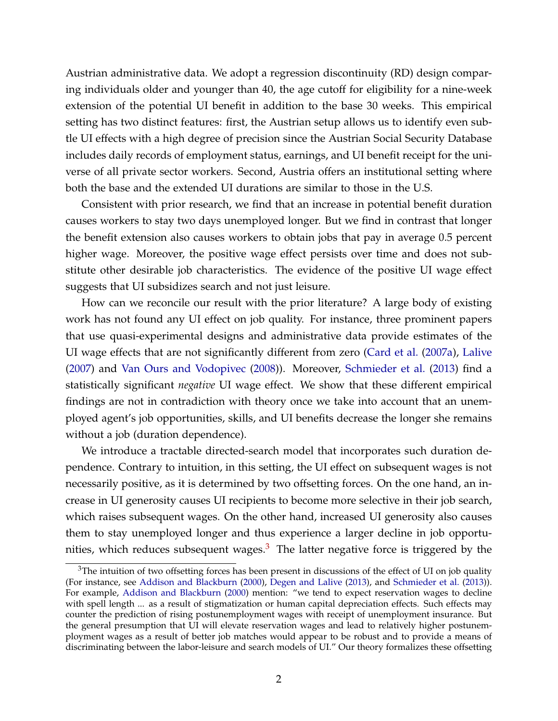<span id="page-1-1"></span>Austrian administrative data. We adopt a regression discontinuity (RD) design comparing individuals older and younger than 40, the age cutoff for eligibility for a nine-week extension of the potential UI benefit in addition to the base 30 weeks. This empirical setting has two distinct features: first, the Austrian setup allows us to identify even subtle UI effects with a high degree of precision since the Austrian Social Security Database includes daily records of employment status, earnings, and UI benefit receipt for the universe of all private sector workers. Second, Austria offers an institutional setting where both the base and the extended UI durations are similar to those in the U.S.

Consistent with prior research, we find that an increase in potential benefit duration causes workers to stay two days unemployed longer. But we find in contrast that longer the benefit extension also causes workers to obtain jobs that pay in average 0.5 percent higher wage. Moreover, the positive wage effect persists over time and does not substitute other desirable job characteristics. The evidence of the positive UI wage effect suggests that UI subsidizes search and not just leisure.

How can we reconcile our result with the prior literature? A large body of existing work has not found any UI effect on job quality. For instance, three prominent papers that use quasi-experimental designs and administrative data provide estimates of the UI wage effects that are not significantly different from zero [\(Card et al.](#page-22-1) [\(2007a\)](#page-22-1), [Lalive](#page-24-0) [\(2007\)](#page-24-0) and [Van Ours and Vodopivec](#page-25-0) [\(2008\)](#page-25-0)). Moreover, [Schmieder et al.](#page-25-1) [\(2013\)](#page-25-1) find a statistically significant *negative* UI wage effect. We show that these different empirical findings are not in contradiction with theory once we take into account that an unemployed agent's job opportunities, skills, and UI benefits decrease the longer she remains without a job (duration dependence).

We introduce a tractable directed-search model that incorporates such duration dependence. Contrary to intuition, in this setting, the UI effect on subsequent wages is not necessarily positive, as it is determined by two offsetting forces. On the one hand, an increase in UI generosity causes UI recipients to become more selective in their job search, which raises subsequent wages. On the other hand, increased UI generosity also causes them to stay unemployed longer and thus experience a larger decline in job opportunities, which reduces subsequent wages. $3$  The latter negative force is triggered by the

<span id="page-1-0"></span> $3$ The intuition of two offsetting forces has been present in discussions of the effect of UI on job quality (For instance, see [Addison and Blackburn](#page-21-0) [\(2000\)](#page-21-0), [Degen and Lalive](#page-23-4) [\(2013\)](#page-23-4), and [Schmieder et al.](#page-25-1) [\(2013\)](#page-25-1)). For example, [Addison and Blackburn](#page-21-0) [\(2000\)](#page-21-0) mention: "we tend to expect reservation wages to decline with spell length ... as a result of stigmatization or human capital depreciation effects. Such effects may counter the prediction of rising postunemployment wages with receipt of unemployment insurance. But the general presumption that UI will elevate reservation wages and lead to relatively higher postunemployment wages as a result of better job matches would appear to be robust and to provide a means of discriminating between the labor-leisure and search models of UI." Our theory formalizes these offsetting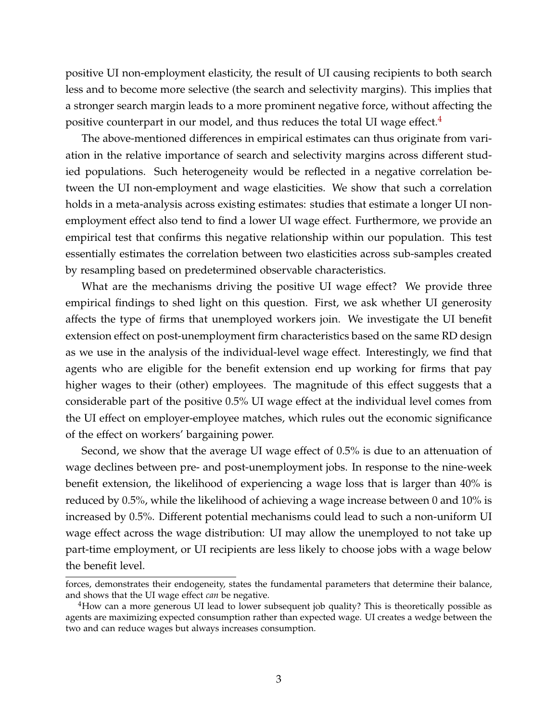positive UI non-employment elasticity, the result of UI causing recipients to both search less and to become more selective (the search and selectivity margins). This implies that a stronger search margin leads to a more prominent negative force, without affecting the positive counterpart in our model, and thus reduces the total UI wage effect. $4$ 

The above-mentioned differences in empirical estimates can thus originate from variation in the relative importance of search and selectivity margins across different studied populations. Such heterogeneity would be reflected in a negative correlation between the UI non-employment and wage elasticities. We show that such a correlation holds in a meta-analysis across existing estimates: studies that estimate a longer UI nonemployment effect also tend to find a lower UI wage effect. Furthermore, we provide an empirical test that confirms this negative relationship within our population. This test essentially estimates the correlation between two elasticities across sub-samples created by resampling based on predetermined observable characteristics.

What are the mechanisms driving the positive UI wage effect? We provide three empirical findings to shed light on this question. First, we ask whether UI generosity affects the type of firms that unemployed workers join. We investigate the UI benefit extension effect on post-unemployment firm characteristics based on the same RD design as we use in the analysis of the individual-level wage effect. Interestingly, we find that agents who are eligible for the benefit extension end up working for firms that pay higher wages to their (other) employees. The magnitude of this effect suggests that a considerable part of the positive 0.5% UI wage effect at the individual level comes from the UI effect on employer-employee matches, which rules out the economic significance of the effect on workers' bargaining power.

Second, we show that the average UI wage effect of 0.5% is due to an attenuation of wage declines between pre- and post-unemployment jobs. In response to the nine-week benefit extension, the likelihood of experiencing a wage loss that is larger than 40% is reduced by 0.5%, while the likelihood of achieving a wage increase between 0 and 10% is increased by 0.5%. Different potential mechanisms could lead to such a non-uniform UI wage effect across the wage distribution: UI may allow the unemployed to not take up part-time employment, or UI recipients are less likely to choose jobs with a wage below the benefit level.

forces, demonstrates their endogeneity, states the fundamental parameters that determine their balance, and shows that the UI wage effect *can* be negative.

<span id="page-2-0"></span><sup>&</sup>lt;sup>4</sup>How can a more generous UI lead to lower subsequent job quality? This is theoretically possible as agents are maximizing expected consumption rather than expected wage. UI creates a wedge between the two and can reduce wages but always increases consumption.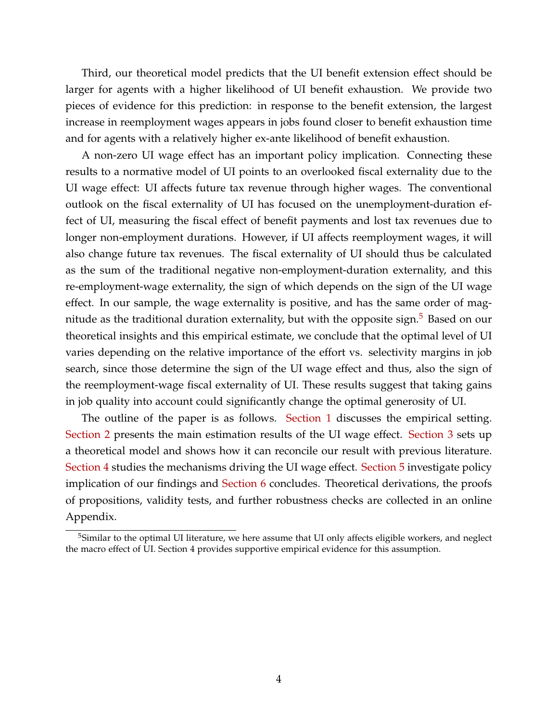Third, our theoretical model predicts that the UI benefit extension effect should be larger for agents with a higher likelihood of UI benefit exhaustion. We provide two pieces of evidence for this prediction: in response to the benefit extension, the largest increase in reemployment wages appears in jobs found closer to benefit exhaustion time and for agents with a relatively higher ex-ante likelihood of benefit exhaustion.

A non-zero UI wage effect has an important policy implication. Connecting these results to a normative model of UI points to an overlooked fiscal externality due to the UI wage effect: UI affects future tax revenue through higher wages. The conventional outlook on the fiscal externality of UI has focused on the unemployment-duration effect of UI, measuring the fiscal effect of benefit payments and lost tax revenues due to longer non-employment durations. However, if UI affects reemployment wages, it will also change future tax revenues. The fiscal externality of UI should thus be calculated as the sum of the traditional negative non-employment-duration externality, and this re-employment-wage externality, the sign of which depends on the sign of the UI wage effect. In our sample, the wage externality is positive, and has the same order of mag-nitude as the traditional duration externality, but with the opposite sign.<sup>[5](#page-3-0)</sup> Based on our theoretical insights and this empirical estimate, we conclude that the optimal level of UI varies depending on the relative importance of the effort vs. selectivity margins in job search, since those determine the sign of the UI wage effect and thus, also the sign of the reemployment-wage fiscal externality of UI. These results suggest that taking gains in job quality into account could significantly change the optimal generosity of UI.

The outline of the paper is as follows. [Section 1](#page-3-1) discusses the empirical setting. [Section 2](#page-7-0) presents the main estimation results of the UI wage effect. [Section 3](#page-9-0) sets up a theoretical model and shows how it can reconcile our result with previous literature. [Section 4](#page-15-0) studies the mechanisms driving the UI wage effect. [Section 5](#page-18-0) investigate policy implication of our findings and [Section 6](#page-0-2) concludes. Theoretical derivations, the proofs of propositions, validity tests, and further robustness checks are collected in an online Appendix.

<span id="page-3-1"></span><span id="page-3-0"></span><sup>&</sup>lt;sup>5</sup>Similar to the optimal UI literature, we here assume that UI only affects eligible workers, and neglect the macro effect of UI. Section 4 provides supportive empirical evidence for this assumption.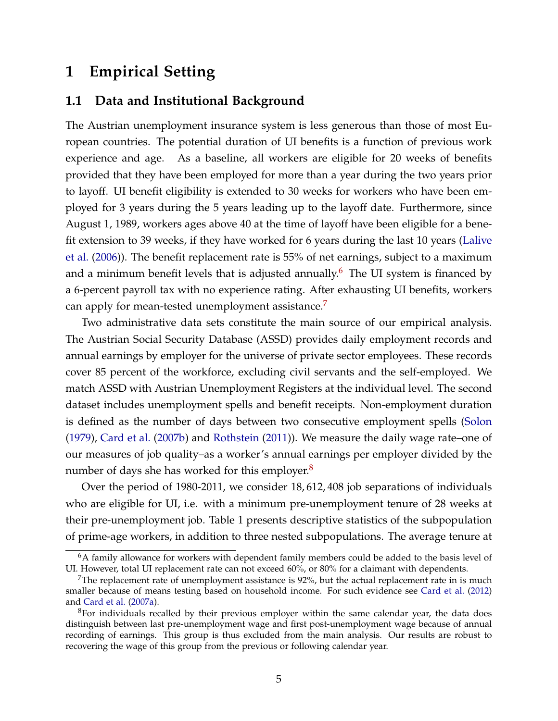# <span id="page-4-3"></span>**1 Empirical Setting**

## **1.1 Data and Institutional Background**

The Austrian unemployment insurance system is less generous than those of most European countries. The potential duration of UI benefits is a function of previous work experience and age. As a baseline, all workers are eligible for 20 weeks of benefits provided that they have been employed for more than a year during the two years prior to layoff. UI benefit eligibility is extended to 30 weeks for workers who have been employed for 3 years during the 5 years leading up to the layoff date. Furthermore, since August 1, 1989, workers ages above 40 at the time of layoff have been eligible for a benefit extension to 39 weeks, if they have worked for 6 years during the last 10 years [\(Lalive](#page-24-1) [et al.](#page-24-1) [\(2006\)](#page-24-1)). The benefit replacement rate is 55% of net earnings, subject to a maximum and a minimum benefit levels that is adjusted annually.<sup>[6](#page-4-0)</sup> The UI system is financed by a 6-percent payroll tax with no experience rating. After exhausting UI benefits, workers can apply for mean-tested unemployment assistance.<sup>[7](#page-4-1)</sup>

Two administrative data sets constitute the main source of our empirical analysis. The Austrian Social Security Database (ASSD) provides daily employment records and annual earnings by employer for the universe of private sector employees. These records cover 85 percent of the workforce, excluding civil servants and the self-employed. We match ASSD with Austrian Unemployment Registers at the individual level. The second dataset includes unemployment spells and benefit receipts. Non-employment duration is defined as the number of days between two consecutive employment spells [\(Solon](#page-25-2) [\(1979\)](#page-25-2), [Card et al.](#page-22-2) [\(2007b\)](#page-22-2) and [Rothstein](#page-25-3) [\(2011\)](#page-25-3)). We measure the daily wage rate–one of our measures of job quality–as a worker's annual earnings per employer divided by the number of days she has worked for this employer.<sup>[8](#page-4-2)</sup>

Over the period of 1980-2011, we consider 18, 612, 408 job separations of individuals who are eligible for UI, i.e. with a minimum pre-unemployment tenure of 28 weeks at their pre-unemployment job. Table 1 presents descriptive statistics of the subpopulation of prime-age workers, in addition to three nested subpopulations. The average tenure at

<span id="page-4-0"></span><sup>&</sup>lt;sup>6</sup>A family allowance for workers with dependent family members could be added to the basis level of UI. However, total UI replacement rate can not exceed 60%, or 80% for a claimant with dependents.

<span id="page-4-1"></span><sup>&</sup>lt;sup>7</sup>The replacement rate of unemployment assistance is  $92\%$ , but the actual replacement rate in is much smaller because of means testing based on household income. For such evidence see [Card et al.](#page-22-3) [\(2012\)](#page-22-3) and [Card et al.](#page-22-1) [\(2007a\)](#page-22-1).

<span id="page-4-2"></span><sup>&</sup>lt;sup>8</sup>For individuals recalled by their previous employer within the same calendar year, the data does distinguish between last pre-unemployment wage and first post-unemployment wage because of annual recording of earnings. This group is thus excluded from the main analysis. Our results are robust to recovering the wage of this group from the previous or following calendar year.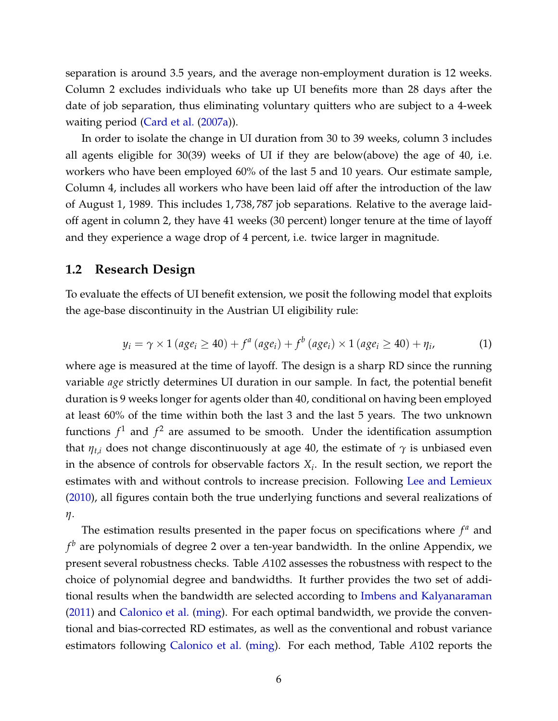<span id="page-5-0"></span>separation is around 3.5 years, and the average non-employment duration is 12 weeks. Column 2 excludes individuals who take up UI benefits more than 28 days after the date of job separation, thus eliminating voluntary quitters who are subject to a 4-week waiting period [\(Card et al.](#page-22-1) [\(2007a\)](#page-22-1)).

In order to isolate the change in UI duration from 30 to 39 weeks, column 3 includes all agents eligible for 30(39) weeks of UI if they are below(above) the age of 40, i.e. workers who have been employed 60% of the last 5 and 10 years. Our estimate sample, Column 4, includes all workers who have been laid off after the introduction of the law of August 1, 1989. This includes 1, 738, 787 job separations. Relative to the average laidoff agent in column 2, they have 41 weeks (30 percent) longer tenure at the time of layoff and they experience a wage drop of 4 percent, i.e. twice larger in magnitude.

#### **1.2 Research Design**

To evaluate the effects of UI benefit extension, we posit the following model that exploits the age-base discontinuity in the Austrian UI eligibility rule:

$$
y_i = \gamma \times 1 \left( age_i \ge 40 \right) + f^a \left( age_i \right) + f^b \left( age_i \right) \times 1 \left( age_i \ge 40 \right) + \eta_i,\tag{1}
$$

where age is measured at the time of layoff. The design is a sharp RD since the running variable *age* strictly determines UI duration in our sample. In fact, the potential benefit duration is 9 weeks longer for agents older than 40, conditional on having been employed at least 60% of the time within both the last 3 and the last 5 years. The two unknown functions  $f^1$  and  $f^2$  are assumed to be smooth. Under the identification assumption that  $\eta_{t,i}$  does not change discontinuously at age 40, the estimate of  $\gamma$  is unbiased even in the absence of controls for observable factors  $X_i$ . In the result section, we report the estimates with and without controls to increase precision. Following [Lee and Lemieux](#page-24-2) [\(2010\)](#page-24-2), all figures contain both the true underlying functions and several realizations of *η*.

The estimation results presented in the paper focus on specifications where  $f^a$  and *f <sup>b</sup>* are polynomials of degree 2 over a ten-year bandwidth. In the online Appendix, we present several robustness checks. Table *A*102 assesses the robustness with respect to the choice of polynomial degree and bandwidths. It further provides the two set of additional results when the bandwidth are selected according to [Imbens and Kalyanaraman](#page-23-5) [\(2011\)](#page-23-5) and [Calonico et al.](#page-22-4) [\(ming\)](#page-22-4). For each optimal bandwidth, we provide the conventional and bias-corrected RD estimates, as well as the conventional and robust variance estimators following [Calonico et al.](#page-22-4) [\(ming\)](#page-22-4). For each method, Table *A*102 reports the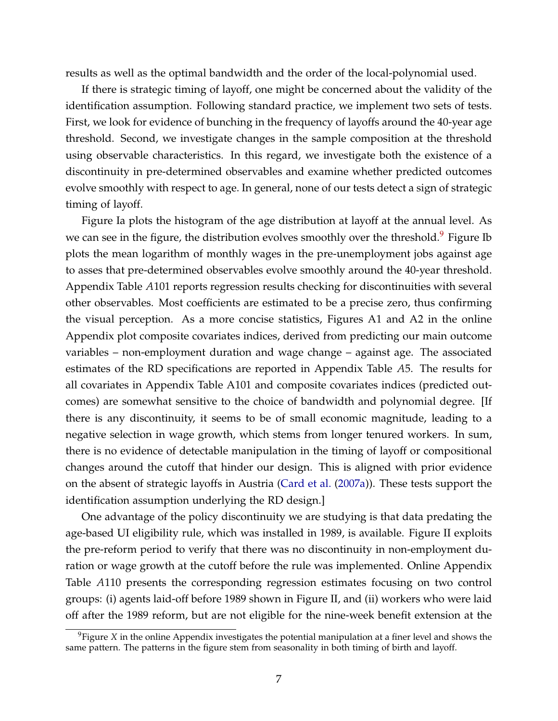<span id="page-6-1"></span>results as well as the optimal bandwidth and the order of the local-polynomial used.

If there is strategic timing of layoff, one might be concerned about the validity of the identification assumption. Following standard practice, we implement two sets of tests. First, we look for evidence of bunching in the frequency of layoffs around the 40-year age threshold. Second, we investigate changes in the sample composition at the threshold using observable characteristics. In this regard, we investigate both the existence of a discontinuity in pre-determined observables and examine whether predicted outcomes evolve smoothly with respect to age. In general, none of our tests detect a sign of strategic timing of layoff.

Figure Ia plots the histogram of the age distribution at layoff at the annual level. As we can see in the figure, the distribution evolves smoothly over the threshold.<sup>[9](#page-6-0)</sup> Figure Ib plots the mean logarithm of monthly wages in the pre-unemployment jobs against age to asses that pre-determined observables evolve smoothly around the 40-year threshold. Appendix Table *A*101 reports regression results checking for discontinuities with several other observables. Most coefficients are estimated to be a precise zero, thus confirming the visual perception. As a more concise statistics, Figures A1 and A2 in the online Appendix plot composite covariates indices, derived from predicting our main outcome variables – non-employment duration and wage change – against age. The associated estimates of the RD specifications are reported in Appendix Table *A*5. The results for all covariates in Appendix Table A101 and composite covariates indices (predicted outcomes) are somewhat sensitive to the choice of bandwidth and polynomial degree. [If there is any discontinuity, it seems to be of small economic magnitude, leading to a negative selection in wage growth, which stems from longer tenured workers. In sum, there is no evidence of detectable manipulation in the timing of layoff or compositional changes around the cutoff that hinder our design. This is aligned with prior evidence on the absent of strategic layoffs in Austria [\(Card et al.](#page-22-1) [\(2007a\)](#page-22-1)). These tests support the identification assumption underlying the RD design.]

One advantage of the policy discontinuity we are studying is that data predating the age-based UI eligibility rule, which was installed in 1989, is available. Figure II exploits the pre-reform period to verify that there was no discontinuity in non-employment duration or wage growth at the cutoff before the rule was implemented. Online Appendix Table *A*110 presents the corresponding regression estimates focusing on two control groups: (i) agents laid-off before 1989 shown in Figure II, and (ii) workers who were laid off after the 1989 reform, but are not eligible for the nine-week benefit extension at the

<span id="page-6-0"></span><sup>9</sup>Figure *X* in the online Appendix investigates the potential manipulation at a finer level and shows the same pattern. The patterns in the figure stem from seasonality in both timing of birth and layoff.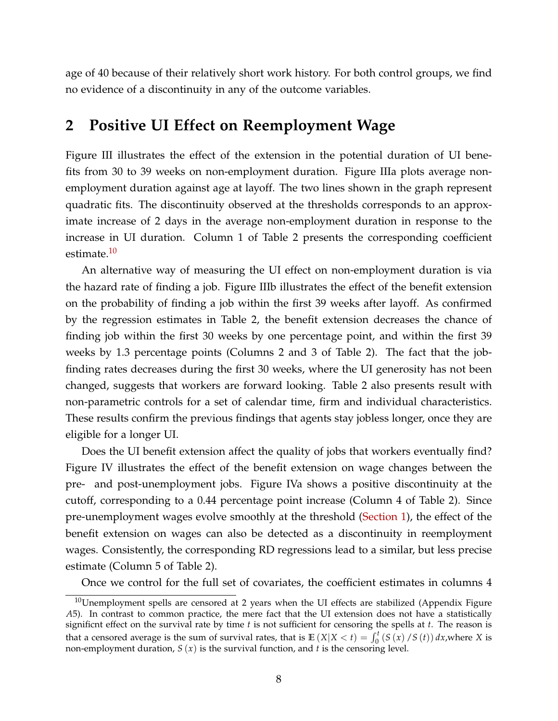age of 40 because of their relatively short work history. For both control groups, we find no evidence of a discontinuity in any of the outcome variables.

## <span id="page-7-0"></span>**2 Positive UI Effect on Reemployment Wage**

Figure III illustrates the effect of the extension in the potential duration of UI benefits from 30 to 39 weeks on non-employment duration. Figure IIIa plots average nonemployment duration against age at layoff. The two lines shown in the graph represent quadratic fits. The discontinuity observed at the thresholds corresponds to an approximate increase of 2 days in the average non-employment duration in response to the increase in UI duration. Column 1 of Table 2 presents the corresponding coefficient estimate.<sup>[10](#page-7-1)</sup>

An alternative way of measuring the UI effect on non-employment duration is via the hazard rate of finding a job. Figure IIIb illustrates the effect of the benefit extension on the probability of finding a job within the first 39 weeks after layoff. As confirmed by the regression estimates in Table 2, the benefit extension decreases the chance of finding job within the first 30 weeks by one percentage point, and within the first 39 weeks by 1.3 percentage points (Columns 2 and 3 of Table 2). The fact that the jobfinding rates decreases during the first 30 weeks, where the UI generosity has not been changed, suggests that workers are forward looking. Table 2 also presents result with non-parametric controls for a set of calendar time, firm and individual characteristics. These results confirm the previous findings that agents stay jobless longer, once they are eligible for a longer UI.

Does the UI benefit extension affect the quality of jobs that workers eventually find? Figure IV illustrates the effect of the benefit extension on wage changes between the pre- and post-unemployment jobs. Figure IVa shows a positive discontinuity at the cutoff, corresponding to a 0.44 percentage point increase (Column 4 of Table 2). Since pre-unemployment wages evolve smoothly at the threshold [\(Section 1\)](#page-3-1), the effect of the benefit extension on wages can also be detected as a discontinuity in reemployment wages. Consistently, the corresponding RD regressions lead to a similar, but less precise estimate (Column 5 of Table 2).

Once we control for the full set of covariates, the coefficient estimates in columns 4

<span id="page-7-1"></span> $10$ Unemployment spells are censored at 2 years when the UI effects are stabilized (Appendix Figure *A*5). In contrast to common practice, the mere fact that the UI extension does not have a statistically significnt effect on the survival rate by time *t* is not sufficient for censoring the spells at *t*. The reason is that a censored average is the sum of survival rates, that is  $\mathbb{E}(X|X < t) = \int_0^t (S(x)/S(t)) dx$ , where *X* is non-employment duration, *S* (*x*) is the survival function, and *t* is the censoring level.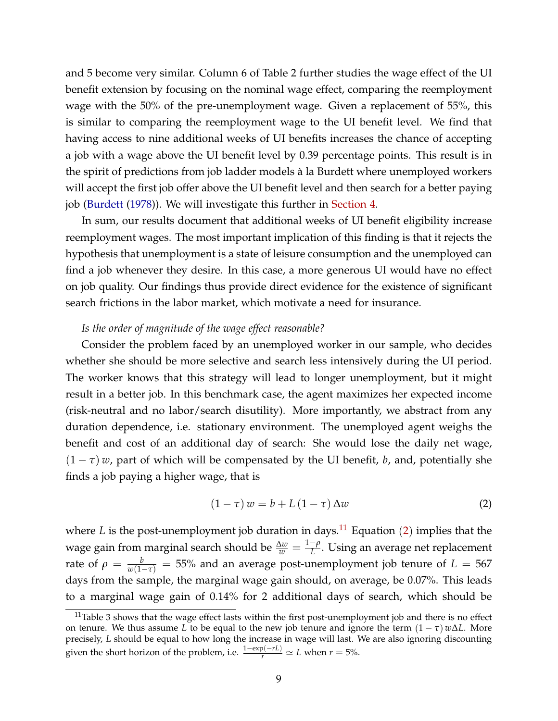<span id="page-8-2"></span>and 5 become very similar. Column 6 of Table 2 further studies the wage effect of the UI benefit extension by focusing on the nominal wage effect, comparing the reemployment wage with the 50% of the pre-unemployment wage. Given a replacement of 55%, this is similar to comparing the reemployment wage to the UI benefit level. We find that having access to nine additional weeks of UI benefits increases the chance of accepting a job with a wage above the UI benefit level by 0.39 percentage points. This result is in the spirit of predictions from job ladder models à la Burdett where unemployed workers will accept the first job offer above the UI benefit level and then search for a better paying job [\(Burdett](#page-22-5) [\(1978\)](#page-22-5)). We will investigate this further in [Section 4.](#page-15-0)

In sum, our results document that additional weeks of UI benefit eligibility increase reemployment wages. The most important implication of this finding is that it rejects the hypothesis that unemployment is a state of leisure consumption and the unemployed can find a job whenever they desire. In this case, a more generous UI would have no effect on job quality. Our findings thus provide direct evidence for the existence of significant search frictions in the labor market, which motivate a need for insurance.

#### *Is the order of magnitude of the wage effect reasonable?*

Consider the problem faced by an unemployed worker in our sample, who decides whether she should be more selective and search less intensively during the UI period. The worker knows that this strategy will lead to longer unemployment, but it might result in a better job. In this benchmark case, the agent maximizes her expected income (risk-neutral and no labor/search disutility). More importantly, we abstract from any duration dependence, i.e. stationary environment. The unemployed agent weighs the benefit and cost of an additional day of search: She would lose the daily net wage,  $(1 - \tau)$  *w*, part of which will be compensated by the UI benefit, *b*, and, potentially she finds a job paying a higher wage, that is

<span id="page-8-1"></span>
$$
(1 - \tau) w = b + L (1 - \tau) \Delta w \tag{2}
$$

where *L* is the post-unemployment job duration in days.<sup>[11](#page-8-0)</sup> Equation ([2](#page-8-1)) implies that the wage gain from marginal search should be  $\frac{\Delta w}{w} = \frac{1-\rho}{L}$  $L^{\mu}$ . Using an average net replacement rate of  $\rho = \frac{b}{w(1-\tau)} = 55\%$  and an average post-unemployment job tenure of  $L = 567$ days from the sample, the marginal wage gain should, on average, be 0.07%. This leads to a marginal wage gain of 0.14% for 2 additional days of search, which should be

<span id="page-8-0"></span> $11$ Table 3 shows that the wage effect lasts within the first post-unemployment job and there is no effect on tenure. We thus assume *L* to be equal to the new job tenure and ignore the term  $(1 - \tau) w \Delta L$ . More precisely, *L* should be equal to how long the increase in wage will last. We are also ignoring discounting given the short horizon of the problem, i.e.  $\frac{1-\exp(-rL)}{r} \simeq L$  when  $r = 5\%$ .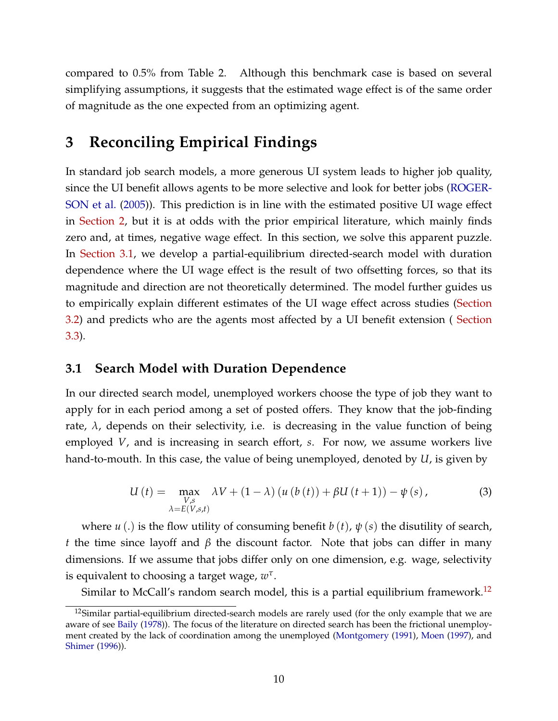<span id="page-9-4"></span>compared to 0.5% from Table 2. Although this benchmark case is based on several simplifying assumptions, it suggests that the estimated wage effect is of the same order of magnitude as the one expected from an optimizing agent.

## <span id="page-9-0"></span>**3 Reconciling Empirical Findings**

In standard job search models, a more generous UI system leads to higher job quality, since the UI benefit allows agents to be more selective and look for better jobs [\(ROGER-](#page-24-3)[SON et al.](#page-24-3) [\(2005\)](#page-24-3)). This prediction is in line with the estimated positive UI wage effect in [Section 2,](#page-7-0) but it is at odds with the prior empirical literature, which mainly finds zero and, at times, negative wage effect. In this section, we solve this apparent puzzle. In [Section 3.1,](#page-9-1) we develop a partial-equilibrium directed-search model with duration dependence where the UI wage effect is the result of two offsetting forces, so that its magnitude and direction are not theoretically determined. The model further guides us to empirically explain different estimates of the UI wage effect across studies [\(Section](#page-13-0) [3.2\)](#page-13-0) and predicts who are the agents most affected by a UI benefit extension ( [Section](#page-14-0) [3.3\)](#page-14-0).

### <span id="page-9-1"></span>**3.1 Search Model with Duration Dependence**

In our directed search model, unemployed workers choose the type of job they want to apply for in each period among a set of posted offers. They know that the job-finding rate,  $\lambda$ , depends on their selectivity, i.e. is decreasing in the value function of being employed *V*, and is increasing in search effort, *s*. For now, we assume workers live hand-to-mouth. In this case, the value of being unemployed, denoted by *U*, is given by

<span id="page-9-3"></span>
$$
U(t) = \max_{\substack{V,s\\ \lambda=E(V,s,t)}} \lambda V + (1-\lambda) \left( u \left( b \left( t \right) \right) + \beta U \left( t + 1 \right) \right) - \psi \left( s \right),\tag{3}
$$

where  $u(.)$  is the flow utility of consuming benefit  $b(t)$ ,  $\psi(s)$  the disutility of search, *t* the time since layoff and *β* the discount factor. Note that jobs can differ in many dimensions. If we assume that jobs differ only on one dimension, e.g. wage, selectivity is equivalent to choosing a target wage, *w τ* .

Similar to McCall's random search model, this is a partial equilibrium framework.<sup>[12](#page-9-2)</sup>

<span id="page-9-2"></span><sup>&</sup>lt;sup>12</sup>Similar partial-equilibrium directed-search models are rarely used (for the only example that we are aware of see [Baily](#page-22-6) [\(1978\)](#page-22-6)). The focus of the literature on directed search has been the frictional unemployment created by the lack of coordination among the unemployed [\(Montgomery](#page-24-4) [\(1991\)](#page-24-4), [Moen](#page-24-5) [\(1997\)](#page-24-5), and [Shimer](#page-25-4) [\(1996\)](#page-25-4)).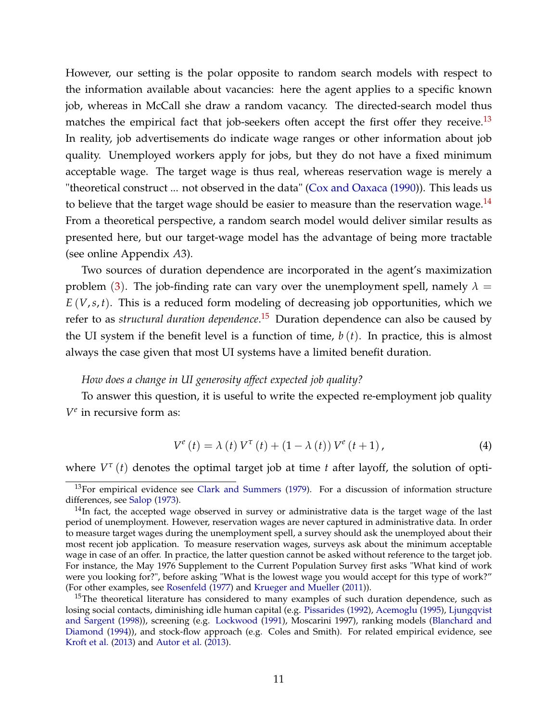<span id="page-10-3"></span>However, our setting is the polar opposite to random search models with respect to the information available about vacancies: here the agent applies to a specific known job, whereas in McCall she draw a random vacancy. The directed-search model thus matches the empirical fact that job-seekers often accept the first offer they receive.<sup>[13](#page-10-0)</sup> In reality, job advertisements do indicate wage ranges or other information about job quality. Unemployed workers apply for jobs, but they do not have a fixed minimum acceptable wage. The target wage is thus real, whereas reservation wage is merely a "theoretical construct ... not observed in the data" [\(Cox and Oaxaca](#page-23-6) [\(1990\)](#page-23-6)). This leads us to believe that the target wage should be easier to measure than the reservation wage. $^{14}$  $^{14}$  $^{14}$ From a theoretical perspective, a random search model would deliver similar results as presented here, but our target-wage model has the advantage of being more tractable (see online Appendix *A*3).

Two sources of duration dependence are incorporated in the agent's maximization problem ([3](#page-9-3)). The job-finding rate can vary over the unemployment spell, namely  $\lambda =$  $E(V, s, t)$ . This is a reduced form modeling of decreasing job opportunities, which we refer to as *structural duration dependence*. [15](#page-10-2) Duration dependence can also be caused by the UI system if the benefit level is a function of time,  $b(t)$ . In practice, this is almost always the case given that most UI systems have a limited benefit duration.

### *How does a change in UI generosity affect expected job quality?*

To answer this question, it is useful to write the expected re-employment job quality *V e* in recursive form as:

$$
V^{e}(t) = \lambda(t) V^{\tau}(t) + (1 - \lambda(t)) V^{e}(t+1), \qquad (4)
$$

where  $V^{\tau}(t)$  denotes the optimal target job at time *t* after layoff, the solution of opti-

<span id="page-10-0"></span> $13$ For empirical evidence see [Clark and Summers](#page-22-7) [\(1979\)](#page-22-7). For a discussion of information structure differences, see [Salop](#page-25-5) [\(1973\)](#page-25-5).

<span id="page-10-1"></span> $14$ In fact, the accepted wage observed in survey or administrative data is the target wage of the last period of unemployment. However, reservation wages are never captured in administrative data. In order to measure target wages during the unemployment spell, a survey should ask the unemployed about their most recent job application. To measure reservation wages, surveys ask about the minimum acceptable wage in case of an offer. In practice, the latter question cannot be asked without reference to the target job. For instance, the May 1976 Supplement to the Current Population Survey first asks "What kind of work were you looking for?", before asking "What is the lowest wage you would accept for this type of work?" (For other examples, see [Rosenfeld](#page-24-6) [\(1977\)](#page-24-6) and [Krueger and Mueller](#page-23-7) [\(2011\)](#page-23-7)).

<span id="page-10-2"></span><sup>&</sup>lt;sup>15</sup>The theoretical literature has considered to many examples of such duration dependence, such as losing social contacts, diminishing idle human capital (e.g. [Pissarides](#page-24-7) [\(1992\)](#page-24-7), [Acemoglu](#page-21-1) [\(1995\)](#page-21-1), [Ljungqvist](#page-24-8) [and Sargent](#page-24-8) [\(1998\)](#page-24-8)), screening (e.g. [Lockwood](#page-24-9) [\(1991\)](#page-24-9), Moscarini 1997), ranking models [\(Blanchard and](#page-22-8) [Diamond](#page-22-8) [\(1994\)](#page-22-8)), and stock-flow approach (e.g. Coles and Smith). For related empirical evidence, see [Kroft et al.](#page-23-8) [\(2013\)](#page-23-8) and [Autor et al.](#page-22-9) [\(2013\)](#page-22-9).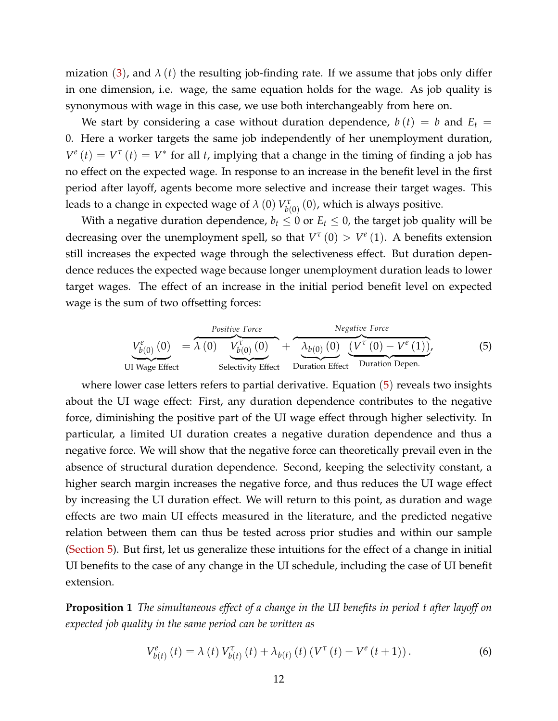mization  $(3)$  $(3)$  $(3)$ , and  $\lambda(t)$  the resulting job-finding rate. If we assume that jobs only differ in one dimension, i.e. wage, the same equation holds for the wage. As job quality is synonymous with wage in this case, we use both interchangeably from here on.

We start by considering a case without duration dependence,  $b(t) = b$  and  $E_t =$ 0. Here a worker targets the same job independently of her unemployment duration,  $V^e(t) = V^{\tau}(t) = V^*$  for all *t*, implying that a change in the timing of finding a job has no effect on the expected wage. In response to an increase in the benefit level in the first period after layoff, agents become more selective and increase their target wages. This leads to a change in expected wage of  $\lambda$  (0)  $V^\tau_{b(0)}$  (0), which is always positive.

With a negative duration dependence,  $b_t \leq 0$  or  $E_t \leq 0$ , the target job quality will be decreasing over the unemployment spell, so that  $V^{\tau}(0) > V^e(1)$ . A benefits extension still increases the expected wage through the selectiveness effect. But duration dependence reduces the expected wage because longer unemployment duration leads to lower target wages. The effect of an increase in the initial period benefit level on expected wage is the sum of two offsetting forces:

<span id="page-11-0"></span>
$$
V_{b(0)}^{e}(0) = \lambda (0) V_{b(0)}^{\tau} (0) + \lambda_{b(0)} (0) V_{b(0)}^{\tau} (0) + \lambda_{b(0)} (0) (V^{\tau} (0) - V^{e} (1)),
$$
\n(5)  
\nUI Wage Effect  
\nSelectric  
\nEffect  
\nDuration Effect  
\nDuration Depen.

where lower case letters refers to partial derivative. Equation  $(5)$  $(5)$  $(5)$  reveals two insights about the UI wage effect: First, any duration dependence contributes to the negative force, diminishing the positive part of the UI wage effect through higher selectivity. In particular, a limited UI duration creates a negative duration dependence and thus a negative force. We will show that the negative force can theoretically prevail even in the absence of structural duration dependence. Second, keeping the selectivity constant, a higher search margin increases the negative force, and thus reduces the UI wage effect by increasing the UI duration effect. We will return to this point, as duration and wage effects are two main UI effects measured in the literature, and the predicted negative relation between them can thus be tested across prior studies and within our sample [\(Section 5\)](#page-18-0). But first, let us generalize these intuitions for the effect of a change in initial UI benefits to the case of any change in the UI schedule, including the case of UI benefit extension.

<span id="page-11-1"></span>**Proposition 1** *The simultaneous effect of a change in the UI benefits in period t after layoff on expected job quality in the same period can be written as*

$$
V_{b(t)}^{e}(t) = \lambda(t) V_{b(t)}^{\tau}(t) + \lambda_{b(t)}(t) (V^{\tau}(t) - V^{e}(t+1)).
$$
 (6)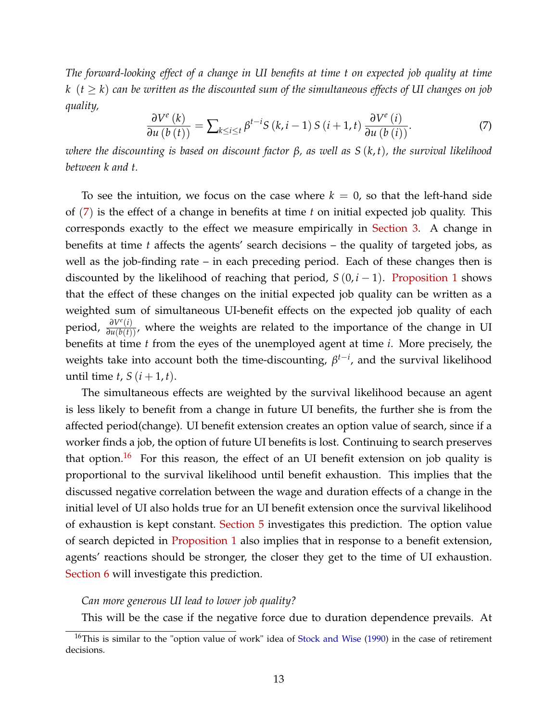<span id="page-12-2"></span>*The forward-looking effect of a change in UI benefits at time t on expected job quality at time k*  $(t \geq k)$  *can be written as the discounted sum of the simultaneous effects of UI changes on job quality,*

<span id="page-12-0"></span>
$$
\frac{\partial V^{e}(k)}{\partial u\left(b\left(t\right)\right)} = \sum_{k \le i \le t} \beta^{t-i} S\left(k, i-1\right) S\left(i+1, t\right) \frac{\partial V^{e}\left(i\right)}{\partial u\left(b\left(i\right)\right)}.\tag{7}
$$

*where the discounting is based on discount factor β, as well as S* (*k*, *t*)*, the survival likelihood between k and t.*

To see the intuition, we focus on the case where  $k = 0$ , so that the left-hand side of ([7](#page-12-0)) is the effect of a change in benefits at time *t* on initial expected job quality. This corresponds exactly to the effect we measure empirically in [Section 3.](#page-9-0) A change in benefits at time *t* affects the agents' search decisions – the quality of targeted jobs, as well as the job-finding rate – in each preceding period. Each of these changes then is discounted by the likelihood of reaching that period,  $S(0, i - 1)$ . [Proposition 1](#page-11-1) shows that the effect of these changes on the initial expected job quality can be written as a weighted sum of simultaneous UI-benefit effects on the expected job quality of each period,  $\frac{\partial V^{e}(i)}{\partial u(b(t))}$ , where the weights are related to the importance of the change in UI benefits at time *t* from the eyes of the unemployed agent at time *i*. More precisely, the weights take into account both the time-discounting, *β t*−*i* , and the survival likelihood until time  $t$ ,  $S$  ( $i + 1$ ,  $t$ ).

The simultaneous effects are weighted by the survival likelihood because an agent is less likely to benefit from a change in future UI benefits, the further she is from the affected period(change). UI benefit extension creates an option value of search, since if a worker finds a job, the option of future UI benefits is lost. Continuing to search preserves that option.<sup>[16](#page-12-1)</sup> For this reason, the effect of an UI benefit extension on job quality is proportional to the survival likelihood until benefit exhaustion. This implies that the discussed negative correlation between the wage and duration effects of a change in the initial level of UI also holds true for an UI benefit extension once the survival likelihood of exhaustion is kept constant. [Section 5](#page-18-0) investigates this prediction. The option value of search depicted in [Proposition 1](#page-11-1) also implies that in response to a benefit extension, agents' reactions should be stronger, the closer they get to the time of UI exhaustion. [Section 6](#page-21-2) will investigate this prediction.

#### *Can more generous UI lead to lower job quality?*

<span id="page-12-1"></span>This will be the case if the negative force due to duration dependence prevails. At

 $16$ This is similar to the "option value of work" idea of [Stock and Wise](#page-25-6) [\(1990\)](#page-25-6) in the case of retirement decisions.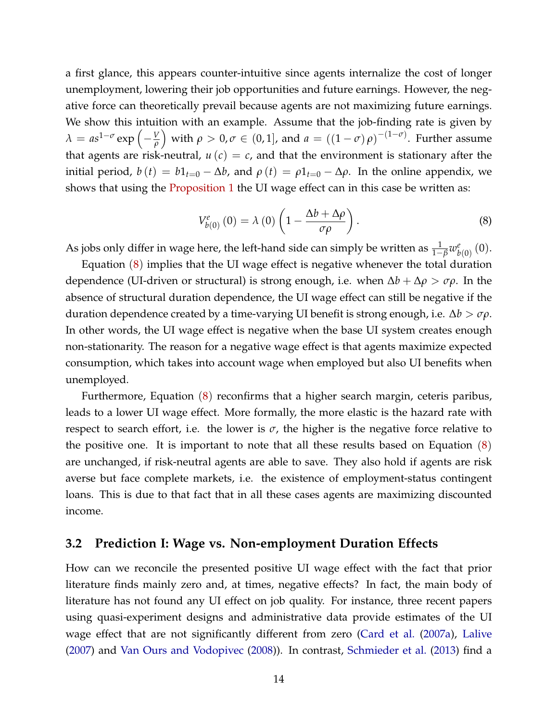<span id="page-13-2"></span>a first glance, this appears counter-intuitive since agents internalize the cost of longer unemployment, lowering their job opportunities and future earnings. However, the negative force can theoretically prevail because agents are not maximizing future earnings. We show this intuition with an example. Assume that the job-finding rate is given by *λ* =  $as^{1-\sigma}$  exp  $\left(-\frac{V}{\rho}\right)$  $\int$  with  $\rho > 0$ ,  $\sigma \in (0,1]$ , and  $a = ((1-\sigma)\rho)^{-(1-\sigma)}$ . Further assume that agents are risk-neutral,  $u(c) = c$ , and that the environment is stationary after the initial period,  $b(t) = b1_{t=0} - \Delta b$ , and  $\rho(t) = \rho 1_{t=0} - \Delta \rho$ . In the online appendix, we shows that using the **[Proposition 1](#page-11-1)** the UI wage effect can in this case be written as:

<span id="page-13-1"></span>
$$
V_{b(0)}^{e}(0) = \lambda(0) \left(1 - \frac{\Delta b + \Delta \rho}{\sigma \rho}\right).
$$
 (8)

As jobs only differ in wage here, the left-hand side can simply be written as  $\frac{1}{1-\beta}w^e_b$  $_{b\left( 0\right) }^{e}\left( 0\right) .$ 

Equation  $(8)$  $(8)$  $(8)$  implies that the UI wage effect is negative whenever the total duration dependence (UI-driven or structural) is strong enough, i.e. when ∆*b* + ∆*ρ* > *σρ*. In the absence of structural duration dependence, the UI wage effect can still be negative if the duration dependence created by a time-varying UI benefit is strong enough, i.e. ∆*b* > *σρ*. In other words, the UI wage effect is negative when the base UI system creates enough non-stationarity. The reason for a negative wage effect is that agents maximize expected consumption, which takes into account wage when employed but also UI benefits when unemployed.

Furthermore, Equation ([8](#page-13-1)) reconfirms that a higher search margin, ceteris paribus, leads to a lower UI wage effect. More formally, the more elastic is the hazard rate with respect to search effort, i.e. the lower is  $\sigma$ , the higher is the negative force relative to the positive one. It is important to note that all these results based on Equation ([8](#page-13-1)) are unchanged, if risk-neutral agents are able to save. They also hold if agents are risk averse but face complete markets, i.e. the existence of employment-status contingent loans. This is due to that fact that in all these cases agents are maximizing discounted income.

### <span id="page-13-0"></span>**3.2 Prediction I: Wage vs. Non-employment Duration Effects**

How can we reconcile the presented positive UI wage effect with the fact that prior literature finds mainly zero and, at times, negative effects? In fact, the main body of literature has not found any UI effect on job quality. For instance, three recent papers using quasi-experiment designs and administrative data provide estimates of the UI wage effect that are not significantly different from zero [\(Card et al.](#page-22-1) [\(2007a\)](#page-22-1), [Lalive](#page-24-0) [\(2007\)](#page-24-0) and [Van Ours and Vodopivec](#page-25-0) [\(2008\)](#page-25-0)). In contrast, [Schmieder et al.](#page-25-1) [\(2013\)](#page-25-1) find a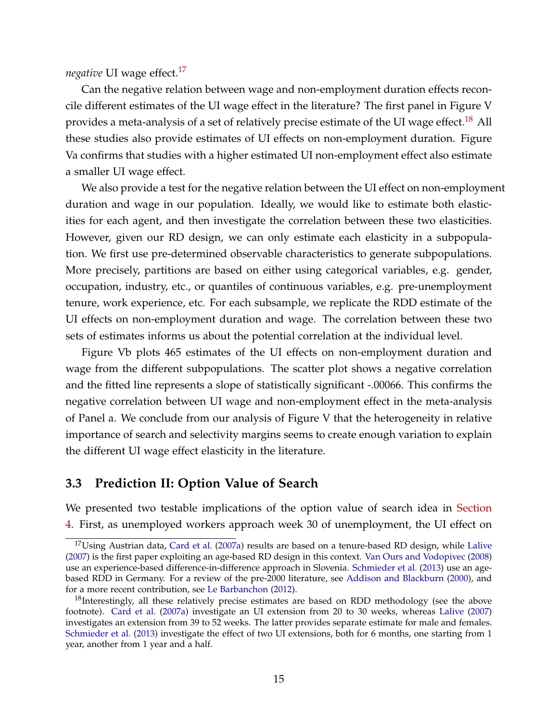<span id="page-14-3"></span>*negative* UI wage effect.[17](#page-14-1)

Can the negative relation between wage and non-employment duration effects reconcile different estimates of the UI wage effect in the literature? The first panel in Figure V provides a meta-analysis of a set of relatively precise estimate of the UI wage effect.<sup>[18](#page-14-2)</sup> All these studies also provide estimates of UI effects on non-employment duration. Figure Va confirms that studies with a higher estimated UI non-employment effect also estimate a smaller UI wage effect.

We also provide a test for the negative relation between the UI effect on non-employment duration and wage in our population. Ideally, we would like to estimate both elasticities for each agent, and then investigate the correlation between these two elasticities. However, given our RD design, we can only estimate each elasticity in a subpopulation. We first use pre-determined observable characteristics to generate subpopulations. More precisely, partitions are based on either using categorical variables, e.g. gender, occupation, industry, etc., or quantiles of continuous variables, e.g. pre-unemployment tenure, work experience, etc. For each subsample, we replicate the RDD estimate of the UI effects on non-employment duration and wage. The correlation between these two sets of estimates informs us about the potential correlation at the individual level.

Figure Vb plots 465 estimates of the UI effects on non-employment duration and wage from the different subpopulations. The scatter plot shows a negative correlation and the fitted line represents a slope of statistically significant -.00066. This confirms the negative correlation between UI wage and non-employment effect in the meta-analysis of Panel a. We conclude from our analysis of Figure V that the heterogeneity in relative importance of search and selectivity margins seems to create enough variation to explain the different UI wage effect elasticity in the literature.

### <span id="page-14-0"></span>**3.3 Prediction II: Option Value of Search**

We presented two testable implications of the option value of search idea in [Section](#page-15-0) [4.](#page-15-0) First, as unemployed workers approach week 30 of unemployment, the UI effect on

<span id="page-14-1"></span> $17$ Using Austrian data, [Card et al.](#page-22-1) [\(2007a\)](#page-22-1) results are based on a tenure-based RD design, while [Lalive](#page-24-0) [\(2007\)](#page-24-0) is the first paper exploiting an age-based RD design in this context. [Van Ours and Vodopivec](#page-25-0) [\(2008\)](#page-25-0) use an experience-based difference-in-difference approach in Slovenia. [Schmieder et al.](#page-25-1) [\(2013\)](#page-25-1) use an agebased RDD in Germany. For a review of the pre-2000 literature, see [Addison and Blackburn](#page-21-0) [\(2000\)](#page-21-0), and for a more recent contribution, see [Le Barbanchon](#page-24-10) [\(2012\)](#page-24-10).

<span id="page-14-2"></span> $18$ Interestingly, all these relatively precise estimates are based on RDD methodology (see the above footnote). [Card et al.](#page-22-1) [\(2007a\)](#page-22-1) investigate an UI extension from 20 to 30 weeks, whereas [Lalive](#page-24-0) [\(2007\)](#page-24-0) investigates an extension from 39 to 52 weeks. The latter provides separate estimate for male and females. [Schmieder et al.](#page-25-1) [\(2013\)](#page-25-1) investigate the effect of two UI extensions, both for 6 months, one starting from 1 year, another from 1 year and a half.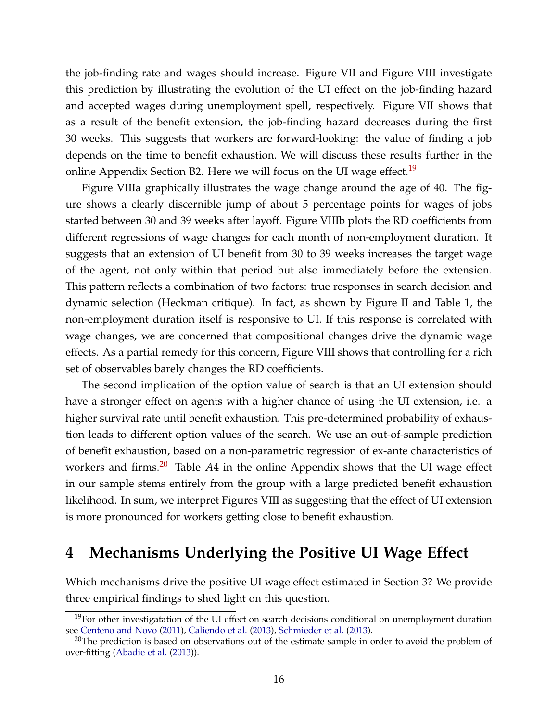<span id="page-15-3"></span>the job-finding rate and wages should increase. Figure VII and Figure VIII investigate this prediction by illustrating the evolution of the UI effect on the job-finding hazard and accepted wages during unemployment spell, respectively. Figure VII shows that as a result of the benefit extension, the job-finding hazard decreases during the first 30 weeks. This suggests that workers are forward-looking: the value of finding a job depends on the time to benefit exhaustion. We will discuss these results further in the online Appendix Section B2. Here we will focus on the UI wage effect.<sup>[19](#page-15-1)</sup>

Figure VIIIa graphically illustrates the wage change around the age of 40. The figure shows a clearly discernible jump of about 5 percentage points for wages of jobs started between 30 and 39 weeks after layoff. Figure VIIIb plots the RD coefficients from different regressions of wage changes for each month of non-employment duration. It suggests that an extension of UI benefit from 30 to 39 weeks increases the target wage of the agent, not only within that period but also immediately before the extension. This pattern reflects a combination of two factors: true responses in search decision and dynamic selection (Heckman critique). In fact, as shown by Figure II and Table 1, the non-employment duration itself is responsive to UI. If this response is correlated with wage changes, we are concerned that compositional changes drive the dynamic wage effects. As a partial remedy for this concern, Figure VIII shows that controlling for a rich set of observables barely changes the RD coefficients.

The second implication of the option value of search is that an UI extension should have a stronger effect on agents with a higher chance of using the UI extension, i.e. a higher survival rate until benefit exhaustion. This pre-determined probability of exhaustion leads to different option values of the search. We use an out-of-sample prediction of benefit exhaustion, based on a non-parametric regression of ex-ante characteristics of workers and firms.[20](#page-15-2) Table *A*4 in the online Appendix shows that the UI wage effect in our sample stems entirely from the group with a large predicted benefit exhaustion likelihood. In sum, we interpret Figures VIII as suggesting that the effect of UI extension is more pronounced for workers getting close to benefit exhaustion.

# <span id="page-15-0"></span>**4 Mechanisms Underlying the Positive UI Wage Effect**

Which mechanisms drive the positive UI wage effect estimated in Section 3? We provide three empirical findings to shed light on this question.

<span id="page-15-1"></span> $19$ For other investigatation of the UI effect on search decisions conditional on unemployment duration see [Centeno and Novo](#page-22-10) [\(2011\)](#page-22-10), [Caliendo et al.](#page-22-11) [\(2013\)](#page-22-11), [Schmieder et al.](#page-25-1) [\(2013\)](#page-25-1).

<span id="page-15-2"></span><sup>&</sup>lt;sup>20</sup>The prediction is based on observations out of the estimate sample in order to avoid the problem of over-fitting [\(Abadie et al.](#page-21-3) [\(2013\)](#page-21-3)).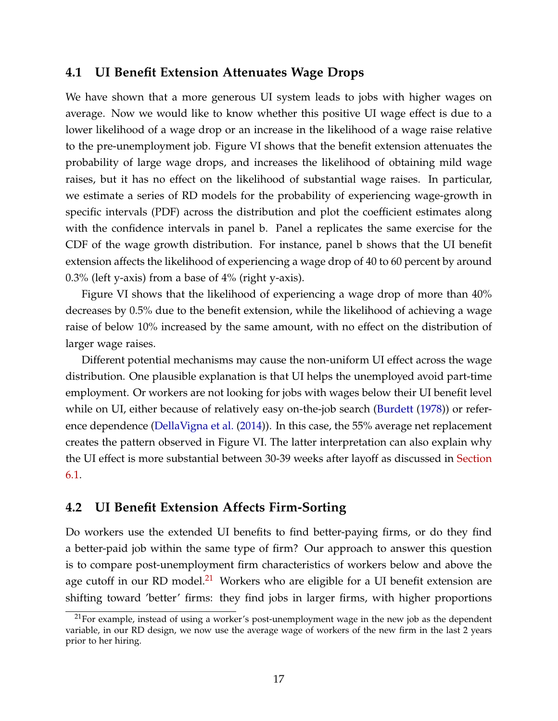## <span id="page-16-1"></span>**4.1 UI Benefit Extension Attenuates Wage Drops**

We have shown that a more generous UI system leads to jobs with higher wages on average. Now we would like to know whether this positive UI wage effect is due to a lower likelihood of a wage drop or an increase in the likelihood of a wage raise relative to the pre-unemployment job. Figure VI shows that the benefit extension attenuates the probability of large wage drops, and increases the likelihood of obtaining mild wage raises, but it has no effect on the likelihood of substantial wage raises. In particular, we estimate a series of RD models for the probability of experiencing wage-growth in specific intervals (PDF) across the distribution and plot the coefficient estimates along with the confidence intervals in panel b. Panel a replicates the same exercise for the CDF of the wage growth distribution. For instance, panel b shows that the UI benefit extension affects the likelihood of experiencing a wage drop of 40 to 60 percent by around 0.3% (left y-axis) from a base of 4% (right y-axis).

Figure VI shows that the likelihood of experiencing a wage drop of more than 40% decreases by 0.5% due to the benefit extension, while the likelihood of achieving a wage raise of below 10% increased by the same amount, with no effect on the distribution of larger wage raises.

Different potential mechanisms may cause the non-uniform UI effect across the wage distribution. One plausible explanation is that UI helps the unemployed avoid part-time employment. Or workers are not looking for jobs with wages below their UI benefit level while on UI, either because of relatively easy on-the-job search [\(Burdett](#page-22-5) [\(1978\)](#page-22-5)) or reference dependence [\(DellaVigna et al.](#page-23-9) [\(2014\)](#page-23-9)). In this case, the 55% average net replacement creates the pattern observed in Figure VI. The latter interpretation can also explain why the UI effect is more substantial between 30-39 weeks after layoff as discussed in [Section](#page-0-2) [6.1.](#page-0-2)

## **4.2 UI Benefit Extension Affects Firm-Sorting**

Do workers use the extended UI benefits to find better-paying firms, or do they find a better-paid job within the same type of firm? Our approach to answer this question is to compare post-unemployment firm characteristics of workers below and above the age cutoff in our RD model.<sup>[21](#page-16-0)</sup> Workers who are eligible for a UI benefit extension are shifting toward 'better' firms: they find jobs in larger firms, with higher proportions

<span id="page-16-0"></span> $21$  For example, instead of using a worker's post-unemployment wage in the new job as the dependent variable, in our RD design, we now use the average wage of workers of the new firm in the last 2 years prior to her hiring.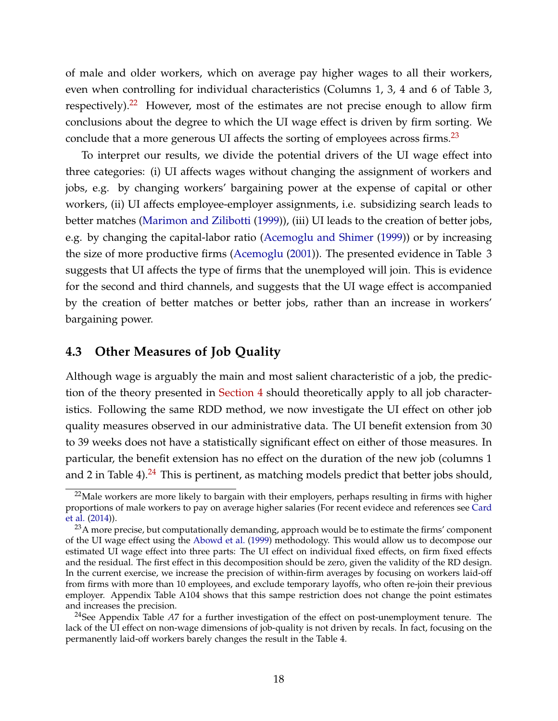<span id="page-17-3"></span>of male and older workers, which on average pay higher wages to all their workers, even when controlling for individual characteristics (Columns 1, 3, 4 and 6 of Table 3, respectively).[22](#page-17-0) However, most of the estimates are not precise enough to allow firm conclusions about the degree to which the UI wage effect is driven by firm sorting. We conclude that a more generous UI affects the sorting of employees across firms.<sup>[23](#page-17-1)</sup>

To interpret our results, we divide the potential drivers of the UI wage effect into three categories: (i) UI affects wages without changing the assignment of workers and jobs, e.g. by changing workers' bargaining power at the expense of capital or other workers, (ii) UI affects employee-employer assignments, i.e. subsidizing search leads to better matches [\(Marimon and Zilibotti](#page-24-11) [\(1999\)](#page-24-11)), (iii) UI leads to the creation of better jobs, e.g. by changing the capital-labor ratio [\(Acemoglu and Shimer](#page-21-4) [\(1999\)](#page-21-4)) or by increasing the size of more productive firms [\(Acemoglu](#page-21-5) [\(2001\)](#page-21-5)). The presented evidence in Table 3 suggests that UI affects the type of firms that the unemployed will join. This is evidence for the second and third channels, and suggests that the UI wage effect is accompanied by the creation of better matches or better jobs, rather than an increase in workers' bargaining power.

### **4.3 Other Measures of Job Quality**

Although wage is arguably the main and most salient characteristic of a job, the prediction of the theory presented in [Section 4](#page-15-0) should theoretically apply to all job characteristics. Following the same RDD method, we now investigate the UI effect on other job quality measures observed in our administrative data. The UI benefit extension from 30 to 39 weeks does not have a statistically significant effect on either of those measures. In particular, the benefit extension has no effect on the duration of the new job (columns 1 and 2 in Table 4). $^{24}$  $^{24}$  $^{24}$  This is pertinent, as matching models predict that better jobs should,

<span id="page-17-0"></span><sup>&</sup>lt;sup>22</sup>Male workers are more likely to bargain with their employers, perhaps resulting in firms with higher proportions of male workers to pay on average higher salaries (For recent evidece and references see [Card](#page-22-12) [et al.](#page-22-12) [\(2014\)](#page-22-12)).

<span id="page-17-1"></span><sup>&</sup>lt;sup>23</sup>A more precise, but computationally demanding, approach would be to estimate the firms' component of the UI wage effect using the [Abowd et al.](#page-21-6) [\(1999\)](#page-21-6) methodology. This would allow us to decompose our estimated UI wage effect into three parts: The UI effect on individual fixed effects, on firm fixed effects and the residual. The first effect in this decomposition should be zero, given the validity of the RD design. In the current exercise, we increase the precision of within-firm averages by focusing on workers laid-off from firms with more than 10 employees, and exclude temporary layoffs, who often re-join their previous employer. Appendix Table A104 shows that this sampe restriction does not change the point estimates and increases the precision.

<span id="page-17-2"></span><sup>24</sup>See Appendix Table *A*7 for a further investigation of the effect on post-unemployment tenure. The lack of the UI effect on non-wage dimensions of job-quality is not driven by recals. In fact, focusing on the permanently laid-off workers barely changes the result in the Table 4.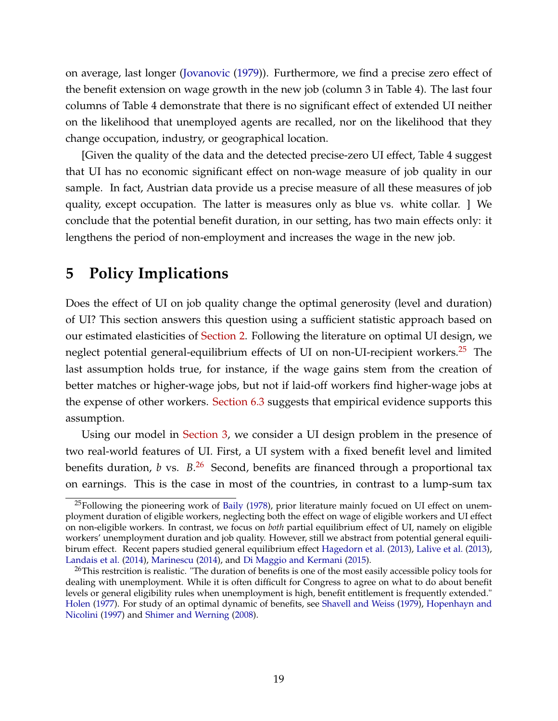<span id="page-18-3"></span>on average, last longer [\(Jovanovic](#page-23-10) [\(1979\)](#page-23-10)). Furthermore, we find a precise zero effect of the benefit extension on wage growth in the new job (column 3 in Table 4). The last four columns of Table 4 demonstrate that there is no significant effect of extended UI neither on the likelihood that unemployed agents are recalled, nor on the likelihood that they change occupation, industry, or geographical location.

[Given the quality of the data and the detected precise-zero UI effect, Table 4 suggest that UI has no economic significant effect on non-wage measure of job quality in our sample. In fact, Austrian data provide us a precise measure of all these measures of job quality, except occupation. The latter is measures only as blue vs. white collar. ] We conclude that the potential benefit duration, in our setting, has two main effects only: it lengthens the period of non-employment and increases the wage in the new job.

# <span id="page-18-0"></span>**5 Policy Implications**

Does the effect of UI on job quality change the optimal generosity (level and duration) of UI? This section answers this question using a sufficient statistic approach based on our estimated elasticities of [Section 2.](#page-7-0) Following the literature on optimal UI design, we neglect potential general-equilibrium effects of UI on non-UI-recipient workers.<sup>[25](#page-18-1)</sup> The last assumption holds true, for instance, if the wage gains stem from the creation of better matches or higher-wage jobs, but not if laid-off workers find higher-wage jobs at the expense of other workers. [Section 6.3](#page-0-2) suggests that empirical evidence supports this assumption.

Using our model in [Section 3,](#page-15-0) we consider a UI design problem in the presence of two real-world features of UI. First, a UI system with a fixed benefit level and limited benefits duration, *b* vs. *B*. [26](#page-18-2) Second, benefits are financed through a proportional tax on earnings. This is the case in most of the countries, in contrast to a lump-sum tax

<span id="page-18-1"></span><sup>&</sup>lt;sup>25</sup>Following the pioneering work of [Baily](#page-22-6) [\(1978\)](#page-22-6), prior literature mainly focued on UI effect on unemployment duration of eligible workers, neglecting both the effect on wage of eligible workers and UI effect on non-eligible workers. In contrast, we focus on *both* partial equilibrium effect of UI, namely on eligible workers' unemployment duration and job quality. However, still we abstract from potential general equilibirum effect. Recent papers studied general equilibrium effect [Hagedorn et al.](#page-23-11) [\(2013\)](#page-23-11), [Lalive et al.](#page-24-12) [\(2013\)](#page-24-12), [Landais et al.](#page-24-13) [\(2014\)](#page-24-13), [Marinescu](#page-24-14) [\(2014\)](#page-24-14), and [Di Maggio and Kermani](#page-23-12) [\(2015\)](#page-23-12).

<span id="page-18-2"></span><sup>&</sup>lt;sup>26</sup>This restrcition is realistic. "The duration of benefits is one of the most easily accessible policy tools for dealing with unemployment. While it is often difficult for Congress to agree on what to do about benefit levels or general eligibility rules when unemployment is high, benefit entitlement is frequently extended." [Holen](#page-23-3) [\(1977\)](#page-23-3). For study of an optimal dynamic of benefits, see [Shavell and Weiss](#page-25-7) [\(1979\)](#page-25-7), [Hopenhayn and](#page-23-13) [Nicolini](#page-23-13) [\(1997\)](#page-23-13) and [Shimer and Werning](#page-25-8) [\(2008\)](#page-25-8).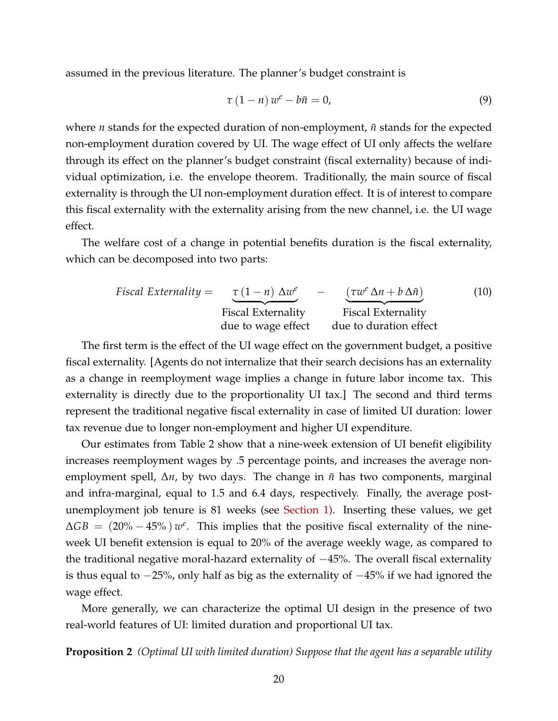assumed in the previous literature. The planner's budget constraint is

$$
\tau (1 - n) w^e - b\tilde{n} = 0,
$$
\n(9)

where  $n$  stands for the expected duration of non-employment,  $\tilde{n}$  stands for the expected non-employment duration covered by UI. The wage effect of UI only affects the welfare through its effect on the planner's budget constraint (fiscal externality) because of individual optimization, i.e. the envelope theorem. Traditionally, the main source of fiscal externality is through the UI non-employment duration effect. It is of interest to compare this fiscal externality with the externality arising from the new channel, i.e. the UI wage effect.

The welfare cost of a change in potential benefits duration is the fiscal externality, which can be decomposed into two parts:

$$
Fiscal Externality = \underbrace{\tau (1 - n) \Delta w^e}_{\text{Fiscal Externality}} - \underbrace{(\tau w^e \Delta n + b \Delta \tilde{n})}_{\text{Fiscal Externality}}
$$
(10)  
due to wage effect due to duration effect

The first term is the effect of the UI wage effect on the government budget, a positive fiscal externality. [Agents do not internalize that their search decisions has an externality as a change in reemployment wage implies a change in future labor income tax. This externality is directly due to the proportionality UI tax.] The second and third terms represent the traditional negative fiscal externality in case of limited UI duration: lower tax revenue due to longer non-employment and higher UI expenditure.

Our estimates from Table 2 show that a nine-week extension of UI benefit eligibility increases reemployment wages by .5 percentage points, and increases the average nonemployment spell,  $\Delta n$ , by two days. The change in  $\tilde{n}$  has two components, marginal and infra-marginal, equal to 1.5 and 6.4 days, respectively. Finally, the average postunemployment job tenure is 81 weeks (see [Section 1\).](#page-3-1) Inserting these values, we get  $\Delta GB = (20\% - 45\%)$  *w*<sup>e</sup>. This implies that the positive fiscal externality of the nineweek UI benefit extension is equal to 20% of the average weekly wage, as compared to the traditional negative moral-hazard externality of −45%. The overall fiscal externality is thus equal to −25%, only half as big as the externality of −45% if we had ignored the wage effect.

More generally, we can characterize the optimal UI design in the presence of two real-world features of UI: limited duration and proportional UI tax.

**Proposition 2** *(Optimal UI with limited duration) Suppose that the agent has a separable utility*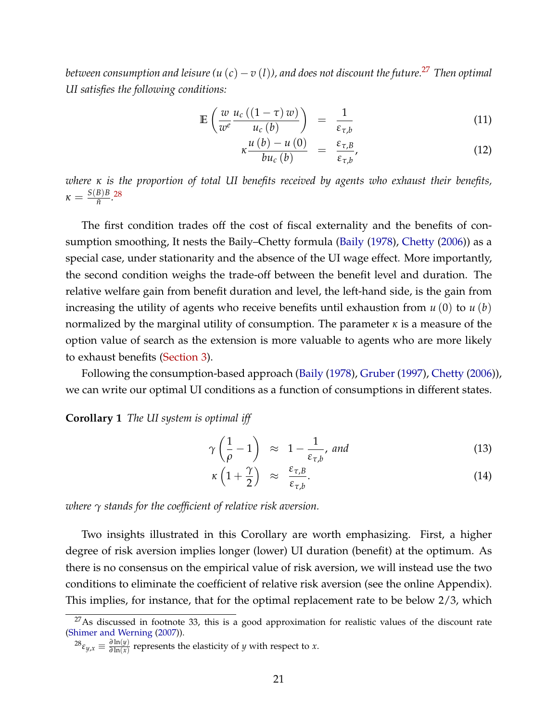<span id="page-20-2"></span>*between consumption and leisure*  $(u(c) - v(l))$ , and does not discount the future.<sup>[27](#page-20-0)</sup> Then optimal *UI satisfies the following conditions:*

$$
\mathbb{E}\left(\frac{w}{w^e}\frac{u_c\left(\left(1-\tau\right)w\right)}{u_c\left(b\right)}\right) = \frac{1}{\varepsilon_{\tau,b}}\tag{11}
$$

$$
\kappa \frac{u\left(b\right)-u\left(0\right)}{bu_{c}\left(b\right)} = \frac{\varepsilon_{\tau,B}}{\varepsilon_{\tau,b}},\tag{12}
$$

*where κ is the proportion of total UI benefits received by agents who exhaust their benefits,*  $\kappa = \frac{S(B)B}{\tilde{n}}$  $\frac{B}{\tilde{n}}$ .<sup>[28](#page-20-1)</sup>

The first condition trades off the cost of fiscal externality and the benefits of consumption smoothing, It nests the Baily–Chetty formula [\(Baily](#page-22-6) [\(1978\)](#page-22-6), [Chetty](#page-22-13) [\(2006\)](#page-22-13)) as a special case, under stationarity and the absence of the UI wage effect. More importantly, the second condition weighs the trade-off between the benefit level and duration. The relative welfare gain from benefit duration and level, the left-hand side, is the gain from increasing the utility of agents who receive benefits until exhaustion from *u* (0) to *u* (*b*) normalized by the marginal utility of consumption. The parameter *κ* is a measure of the option value of search as the extension is more valuable to agents who are more likely to exhaust benefits [\(Section 3\)](#page-9-0).

Following the consumption-based approach [\(Baily](#page-22-6) [\(1978\)](#page-22-6), [Gruber](#page-23-14) [\(1997\)](#page-23-14), [Chetty](#page-22-13) [\(2006\)](#page-22-13)), we can write our optimal UI conditions as a function of consumptions in different states.

**Corollary 1** *The UI system is optimal iff*

$$
\gamma\left(\frac{1}{\rho}-1\right) \approx 1 - \frac{1}{\varepsilon_{\tau,b}}, \text{ and } \tag{13}
$$

$$
\kappa \left( 1 + \frac{\gamma}{2} \right) \approx \frac{\varepsilon_{\tau,B}}{\varepsilon_{\tau,b}}. \tag{14}
$$

*where γ stands for the coefficient of relative risk aversion.*

Two insights illustrated in this Corollary are worth emphasizing. First, a higher degree of risk aversion implies longer (lower) UI duration (benefit) at the optimum. As there is no consensus on the empirical value of risk aversion, we will instead use the two conditions to eliminate the coefficient of relative risk aversion (see the online Appendix). This implies, for instance, that for the optimal replacement rate to be below 2/3, which

<span id="page-20-0"></span> $27$ As discussed in footnote 33, this is a good approximation for realistic values of the discount rate [\(Shimer and Werning](#page-25-9) [\(2007\)](#page-25-9)).

<span id="page-20-1"></span> $^{28}\varepsilon_{y,x} \equiv \frac{\partial \ln(y)}{\partial \ln(x)}$  $\frac{\partial \ln(y)}{\partial \ln(x)}$  represents the elasticity of *y* with respect to *x*.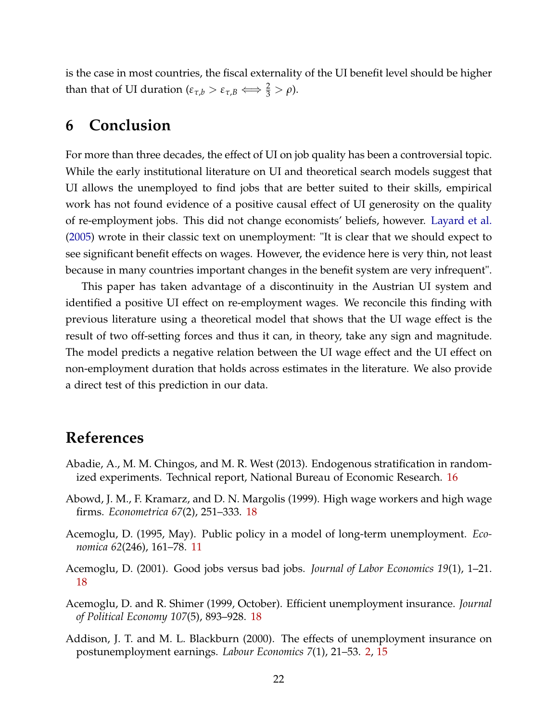<span id="page-21-7"></span><span id="page-21-2"></span>is the case in most countries, the fiscal externality of the UI benefit level should be higher than that of UI duration ( $\varepsilon_{\tau,b} > \varepsilon_{\tau,B} \Longleftrightarrow \frac{2}{3} > \rho$ ).

## **6 Conclusion**

For more than three decades, the effect of UI on job quality has been a controversial topic. While the early institutional literature on UI and theoretical search models suggest that UI allows the unemployed to find jobs that are better suited to their skills, empirical work has not found evidence of a positive causal effect of UI generosity on the quality of re-employment jobs. This did not change economists' beliefs, however. [Layard et al.](#page-24-15) [\(2005\)](#page-24-15) wrote in their classic text on unemployment: "It is clear that we should expect to see significant benefit effects on wages. However, the evidence here is very thin, not least because in many countries important changes in the benefit system are very infrequent".

This paper has taken advantage of a discontinuity in the Austrian UI system and identified a positive UI effect on re-employment wages. We reconcile this finding with previous literature using a theoretical model that shows that the UI wage effect is the result of two off-setting forces and thus it can, in theory, take any sign and magnitude. The model predicts a negative relation between the UI wage effect and the UI effect on non-employment duration that holds across estimates in the literature. We also provide a direct test of this prediction in our data.

# **References**

- <span id="page-21-3"></span>Abadie, A., M. M. Chingos, and M. R. West (2013). Endogenous stratification in randomized experiments. Technical report, National Bureau of Economic Research. [16](#page-15-3)
- <span id="page-21-6"></span>Abowd, J. M., F. Kramarz, and D. N. Margolis (1999). High wage workers and high wage firms. *Econometrica 67*(2), 251–333. [18](#page-17-3)
- <span id="page-21-1"></span>Acemoglu, D. (1995, May). Public policy in a model of long-term unemployment. *Economica 62*(246), 161–78. [11](#page-10-3)
- <span id="page-21-5"></span>Acemoglu, D. (2001). Good jobs versus bad jobs. *Journal of Labor Economics 19*(1), 1–21. [18](#page-17-3)
- <span id="page-21-4"></span>Acemoglu, D. and R. Shimer (1999, October). Efficient unemployment insurance. *Journal of Political Economy 107*(5), 893–928. [18](#page-17-3)
- <span id="page-21-0"></span>Addison, J. T. and M. L. Blackburn (2000). The effects of unemployment insurance on postunemployment earnings. *Labour Economics 7*(1), 21–53. [2,](#page-1-1) [15](#page-14-3)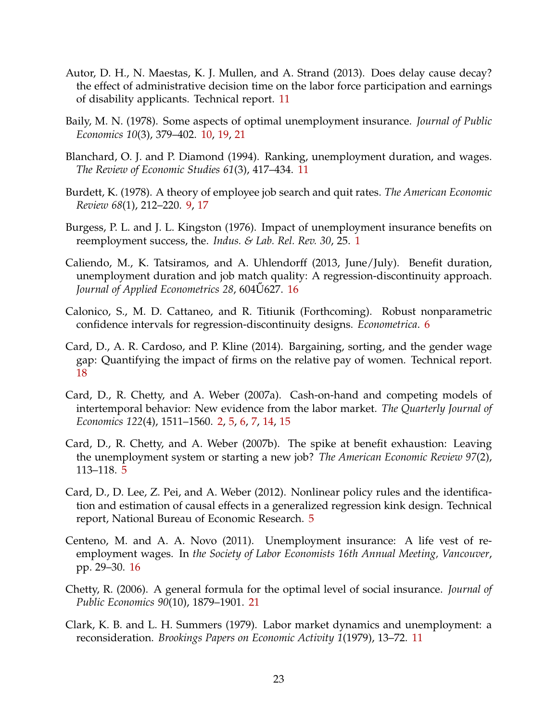- <span id="page-22-9"></span>Autor, D. H., N. Maestas, K. J. Mullen, and A. Strand (2013). Does delay cause decay? the effect of administrative decision time on the labor force participation and earnings of disability applicants. Technical report. [11](#page-10-3)
- <span id="page-22-6"></span>Baily, M. N. (1978). Some aspects of optimal unemployment insurance. *Journal of Public Economics 10*(3), 379–402. [10,](#page-9-4) [19,](#page-18-3) [21](#page-20-2)
- <span id="page-22-8"></span>Blanchard, O. J. and P. Diamond (1994). Ranking, unemployment duration, and wages. *The Review of Economic Studies 61*(3), 417–434. [11](#page-10-3)
- <span id="page-22-5"></span>Burdett, K. (1978). A theory of employee job search and quit rates. *The American Economic Review 68*(1), 212–220. [9,](#page-8-2) [17](#page-16-1)
- <span id="page-22-0"></span>Burgess, P. L. and J. L. Kingston (1976). Impact of unemployment insurance benefits on reemployment success, the. *Indus. & Lab. Rel. Rev. 30*, 25. [1](#page-0-3)
- <span id="page-22-11"></span>Caliendo, M., K. Tatsiramos, and A. Uhlendorff (2013, June/July). Benefit duration, unemployment duration and job match quality: A regression-discontinuity approach. *Journal of Applied Econometrics 28, 604*U627. [16](#page-15-3)
- <span id="page-22-4"></span>Calonico, S., M. D. Cattaneo, and R. Titiunik (Forthcoming). Robust nonparametric confidence intervals for regression-discontinuity designs. *Econometrica*. [6](#page-5-0)
- <span id="page-22-12"></span>Card, D., A. R. Cardoso, and P. Kline (2014). Bargaining, sorting, and the gender wage gap: Quantifying the impact of firms on the relative pay of women. Technical report. [18](#page-17-3)
- <span id="page-22-1"></span>Card, D., R. Chetty, and A. Weber (2007a). Cash-on-hand and competing models of intertemporal behavior: New evidence from the labor market. *The Quarterly Journal of Economics 122*(4), 1511–1560. [2,](#page-1-1) [5,](#page-4-3) [6,](#page-5-0) [7,](#page-6-1) [14,](#page-13-2) [15](#page-14-3)
- <span id="page-22-2"></span>Card, D., R. Chetty, and A. Weber (2007b). The spike at benefit exhaustion: Leaving the unemployment system or starting a new job? *The American Economic Review 97*(2), 113–118. [5](#page-4-3)
- <span id="page-22-3"></span>Card, D., D. Lee, Z. Pei, and A. Weber (2012). Nonlinear policy rules and the identification and estimation of causal effects in a generalized regression kink design. Technical report, National Bureau of Economic Research. [5](#page-4-3)
- <span id="page-22-10"></span>Centeno, M. and A. A. Novo (2011). Unemployment insurance: A life vest of reemployment wages. In *the Society of Labor Economists 16th Annual Meeting, Vancouver*, pp. 29–30. [16](#page-15-3)
- <span id="page-22-13"></span>Chetty, R. (2006). A general formula for the optimal level of social insurance. *Journal of Public Economics 90*(10), 1879–1901. [21](#page-20-2)
- <span id="page-22-7"></span>Clark, K. B. and L. H. Summers (1979). Labor market dynamics and unemployment: a reconsideration. *Brookings Papers on Economic Activity 1*(1979), 13–72. [11](#page-10-3)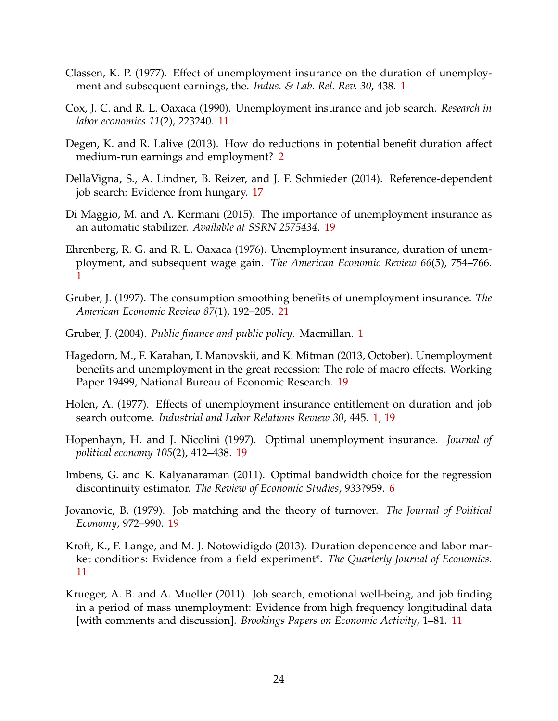- <span id="page-23-1"></span>Classen, K. P. (1977). Effect of unemployment insurance on the duration of unemployment and subsequent earnings, the. *Indus. & Lab. Rel. Rev. 30*, 438. [1](#page-0-3)
- <span id="page-23-6"></span>Cox, J. C. and R. L. Oaxaca (1990). Unemployment insurance and job search. *Research in labor economics 11*(2), 223240. [11](#page-10-3)
- <span id="page-23-4"></span>Degen, K. and R. Lalive (2013). How do reductions in potential benefit duration affect medium-run earnings and employment? [2](#page-1-1)
- <span id="page-23-9"></span>DellaVigna, S., A. Lindner, B. Reizer, and J. F. Schmieder (2014). Reference-dependent job search: Evidence from hungary. [17](#page-16-1)
- <span id="page-23-12"></span>Di Maggio, M. and A. Kermani (2015). The importance of unemployment insurance as an automatic stabilizer. *Available at SSRN 2575434*. [19](#page-18-3)
- <span id="page-23-2"></span>Ehrenberg, R. G. and R. L. Oaxaca (1976). Unemployment insurance, duration of unemployment, and subsequent wage gain. *The American Economic Review 66*(5), 754–766. [1](#page-0-3)
- <span id="page-23-14"></span>Gruber, J. (1997). The consumption smoothing benefits of unemployment insurance. *The American Economic Review 87*(1), 192–205. [21](#page-20-2)
- <span id="page-23-0"></span>Gruber, J. (2004). *Public finance and public policy*. Macmillan. [1](#page-0-3)
- <span id="page-23-11"></span>Hagedorn, M., F. Karahan, I. Manovskii, and K. Mitman (2013, October). Unemployment benefits and unemployment in the great recession: The role of macro effects. Working Paper 19499, National Bureau of Economic Research. [19](#page-18-3)
- <span id="page-23-3"></span>Holen, A. (1977). Effects of unemployment insurance entitlement on duration and job search outcome. *Industrial and Labor Relations Review 30*, 445. [1,](#page-0-3) [19](#page-18-3)
- <span id="page-23-13"></span>Hopenhayn, H. and J. Nicolini (1997). Optimal unemployment insurance. *Journal of political economy 105*(2), 412–438. [19](#page-18-3)
- <span id="page-23-5"></span>Imbens, G. and K. Kalyanaraman (2011). Optimal bandwidth choice for the regression discontinuity estimator. *The Review of Economic Studies*, 933?959. [6](#page-5-0)
- <span id="page-23-10"></span>Jovanovic, B. (1979). Job matching and the theory of turnover. *The Journal of Political Economy*, 972–990. [19](#page-18-3)
- <span id="page-23-8"></span>Kroft, K., F. Lange, and M. J. Notowidigdo (2013). Duration dependence and labor market conditions: Evidence from a field experiment\*. *The Quarterly Journal of Economics*. [11](#page-10-3)
- <span id="page-23-7"></span>Krueger, A. B. and A. Mueller (2011). Job search, emotional well-being, and job finding in a period of mass unemployment: Evidence from high frequency longitudinal data [with comments and discussion]. *Brookings Papers on Economic Activity*, 1–81. [11](#page-10-3)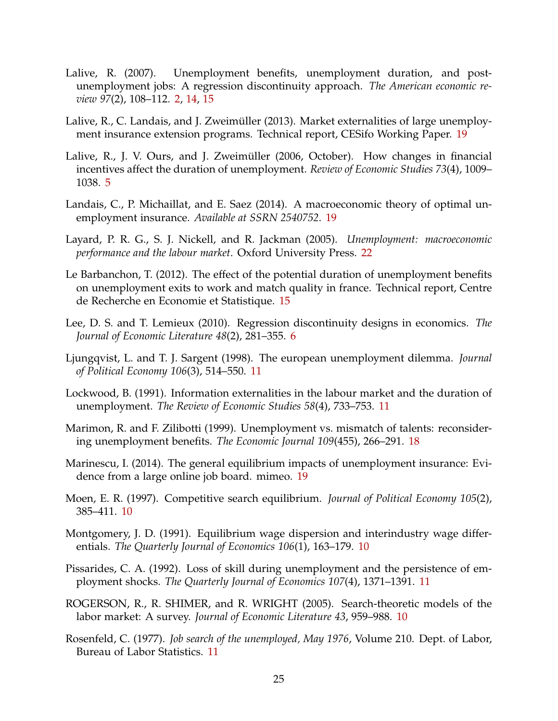- <span id="page-24-0"></span>Lalive, R. (2007). Unemployment benefits, unemployment duration, and postunemployment jobs: A regression discontinuity approach. *The American economic review 97*(2), 108–112. [2,](#page-1-1) [14,](#page-13-2) [15](#page-14-3)
- <span id="page-24-12"></span>Lalive, R., C. Landais, and J. Zweimüller (2013). Market externalities of large unemployment insurance extension programs. Technical report, CESifo Working Paper. [19](#page-18-3)
- <span id="page-24-1"></span>Lalive, R., J. V. Ours, and J. Zweimüller (2006, October). How changes in financial incentives affect the duration of unemployment. *Review of Economic Studies 73*(4), 1009– 1038. [5](#page-4-3)
- <span id="page-24-13"></span>Landais, C., P. Michaillat, and E. Saez (2014). A macroeconomic theory of optimal unemployment insurance. *Available at SSRN 2540752*. [19](#page-18-3)
- <span id="page-24-15"></span>Layard, P. R. G., S. J. Nickell, and R. Jackman (2005). *Unemployment: macroeconomic performance and the labour market*. Oxford University Press. [22](#page-21-7)
- <span id="page-24-10"></span>Le Barbanchon, T. (2012). The effect of the potential duration of unemployment benefits on unemployment exits to work and match quality in france. Technical report, Centre de Recherche en Economie et Statistique. [15](#page-14-3)
- <span id="page-24-2"></span>Lee, D. S. and T. Lemieux (2010). Regression discontinuity designs in economics. *The Journal of Economic Literature 48*(2), 281–355. [6](#page-5-0)
- <span id="page-24-8"></span>Ljungqvist, L. and T. J. Sargent (1998). The european unemployment dilemma. *Journal of Political Economy 106*(3), 514–550. [11](#page-10-3)
- <span id="page-24-9"></span>Lockwood, B. (1991). Information externalities in the labour market and the duration of unemployment. *The Review of Economic Studies 58*(4), 733–753. [11](#page-10-3)
- <span id="page-24-11"></span>Marimon, R. and F. Zilibotti (1999). Unemployment vs. mismatch of talents: reconsidering unemployment benefits. *The Economic Journal 109*(455), 266–291. [18](#page-17-3)
- <span id="page-24-14"></span>Marinescu, I. (2014). The general equilibrium impacts of unemployment insurance: Evidence from a large online job board. mimeo. [19](#page-18-3)
- <span id="page-24-5"></span>Moen, E. R. (1997). Competitive search equilibrium. *Journal of Political Economy 105*(2), 385–411. [10](#page-9-4)
- <span id="page-24-4"></span>Montgomery, J. D. (1991). Equilibrium wage dispersion and interindustry wage differentials. *The Quarterly Journal of Economics 106*(1), 163–179. [10](#page-9-4)
- <span id="page-24-7"></span>Pissarides, C. A. (1992). Loss of skill during unemployment and the persistence of employment shocks. *The Quarterly Journal of Economics 107*(4), 1371–1391. [11](#page-10-3)
- <span id="page-24-3"></span>ROGERSON, R., R. SHIMER, and R. WRIGHT (2005). Search-theoretic models of the labor market: A survey. *Journal of Economic Literature 43*, 959–988. [10](#page-9-4)
- <span id="page-24-6"></span>Rosenfeld, C. (1977). *Job search of the unemployed, May 1976*, Volume 210. Dept. of Labor, Bureau of Labor Statistics. [11](#page-10-3)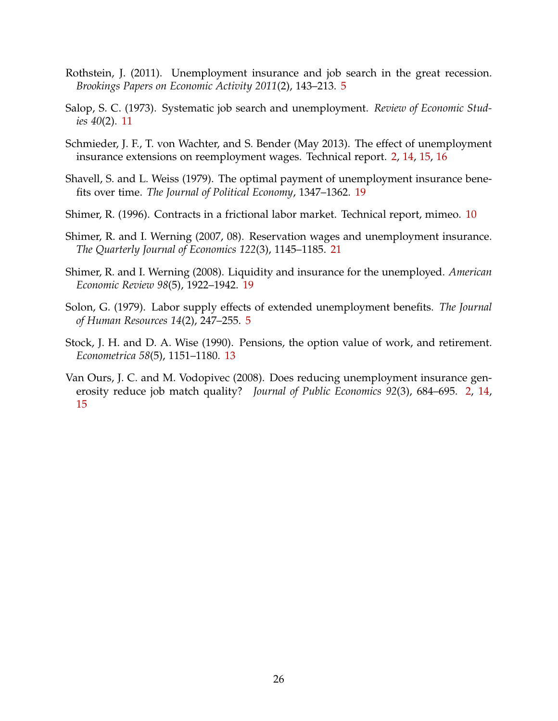- <span id="page-25-3"></span>Rothstein, J. (2011). Unemployment insurance and job search in the great recession. *Brookings Papers on Economic Activity 2011*(2), 143–213. [5](#page-4-3)
- <span id="page-25-5"></span>Salop, S. C. (1973). Systematic job search and unemployment. *Review of Economic Studies 40*(2). [11](#page-10-3)
- <span id="page-25-1"></span>Schmieder, J. F., T. von Wachter, and S. Bender (May 2013). The effect of unemployment insurance extensions on reemployment wages. Technical report. [2,](#page-1-1) [14,](#page-13-2) [15,](#page-14-3) [16](#page-15-3)
- <span id="page-25-7"></span>Shavell, S. and L. Weiss (1979). The optimal payment of unemployment insurance benefits over time. *The Journal of Political Economy*, 1347–1362. [19](#page-18-3)
- <span id="page-25-4"></span>Shimer, R. (1996). Contracts in a frictional labor market. Technical report, mimeo. [10](#page-9-4)
- <span id="page-25-9"></span>Shimer, R. and I. Werning (2007, 08). Reservation wages and unemployment insurance. *The Quarterly Journal of Economics 122*(3), 1145–1185. [21](#page-20-2)
- <span id="page-25-8"></span>Shimer, R. and I. Werning (2008). Liquidity and insurance for the unemployed. *American Economic Review 98*(5), 1922–1942. [19](#page-18-3)
- <span id="page-25-2"></span>Solon, G. (1979). Labor supply effects of extended unemployment benefits. *The Journal of Human Resources 14*(2), 247–255. [5](#page-4-3)
- <span id="page-25-6"></span>Stock, J. H. and D. A. Wise (1990). Pensions, the option value of work, and retirement. *Econometrica 58*(5), 1151–1180. [13](#page-12-2)
- <span id="page-25-0"></span>Van Ours, J. C. and M. Vodopivec (2008). Does reducing unemployment insurance generosity reduce job match quality? *Journal of Public Economics 92*(3), 684–695. [2,](#page-1-1) [14,](#page-13-2) [15](#page-14-3)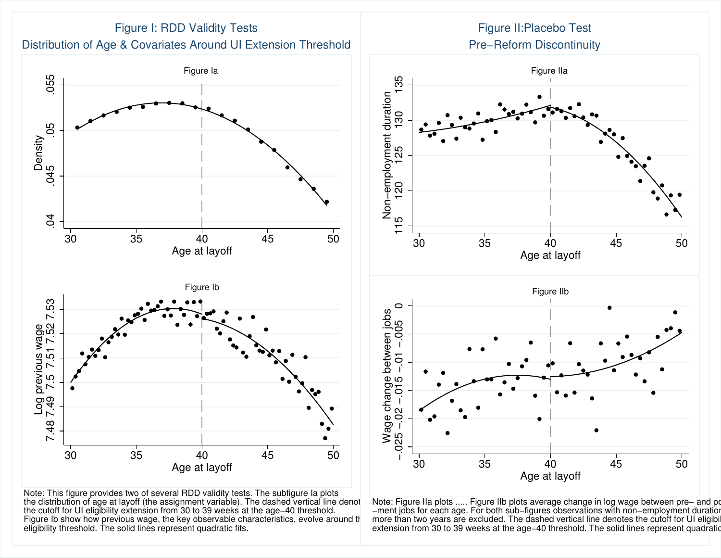

Note: This figure provides two of several RDD validity tests. The subfigure la plots<br>the distribution of age at layoff (the assignment variable). The dashed vertical line denot the cutoff for UI eligibility extension from 30 to 39 weeks at the age–40 threshold. \_\_\_\_\_\_\_\_\_\_\_\_\_\_\_\_\_\_\_\_\_\_\_\_\_<br>Figure Ib show how previous wage, the key observable characteristics, evolve around tł\_\_ more than t eligibility threshold. The solid lines represent quadratic fits.



Note: Figure IIa plots ..... Figure IIb plots average change in log wage between pre− and po −ment jobs for each age. For both sub−figures observations with non−employment duratior more than two years are excluded. The dashed vertical line denotes the cutoff for UI eligibil extension from 30 to 39 weeks at the age−40 threshold. The solid lines represent quadratic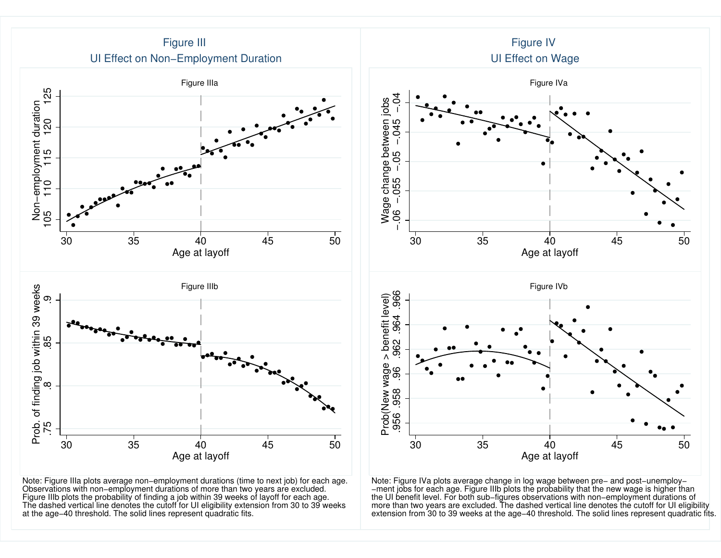

Note: Figure IIIa plots average non–employment durations (time to next job) for each age.<br>Observations with non–employment durations of more than two years are excluded.<br>Figure IIIb plots the probability of finding a job w The dashed vertical line denotes the cutoff for UI eligibility extension from 30 to 39 weeksat the age−40 threshold. The solid lines represent quadratic fits.

Note: Figure IVa plots average change in log wage between pre− and post−unemploy− −ment jobs for each age. Figure IIIb plots the probability that the new wage is higher than the UI benefit level. For both sub−figures observations with non−employment durations of more than two years are excluded. The dashed vertical line denotes the cutoff for UI eligibilityextension from 30 to 39 weeks at the age−40 threshold. The solid lines represent quadratic fits.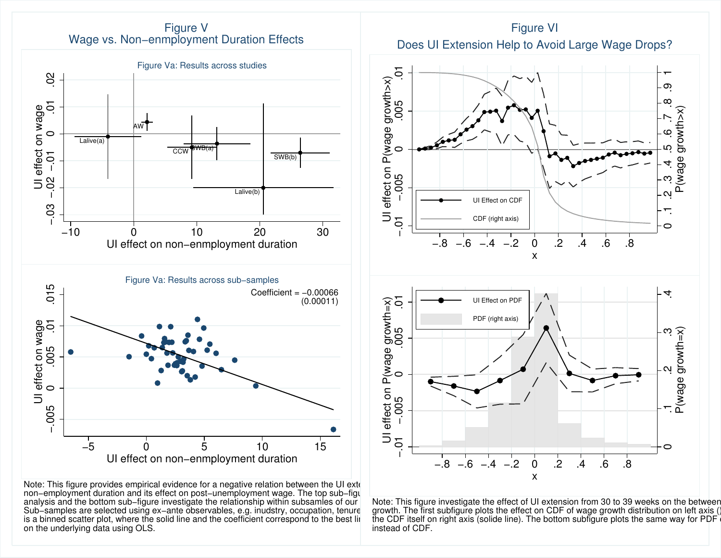Figure VWage vs. Non−enmployment Duration Effects



Note: This figure provides empirical evidence for a negative relation between the UI ext $\epsilon$ non−employment duration and its effect on post−unemployment wage. The top sub−figure reservance offers analysis and the bottom sub−figure investigate the relationship within subsamles of our population. Sub–samples are selected using ex−ante observables, e.g. inudstry, occupation, tenure = growth. Th is a binned scatter plot, where the solid line and the coefficient correspond to the best linear the on the underlying data using OLS.

Does UI Extension Help to Avoid Large Wage Drops?Figure VI



Note: This figure investigate the effect of UI extension from 30 to 39 weeks on the between growth. The first subfigure plots the effect on CDF of wage growth distribution on left axis ()<br>the CDF itself on right axis (solide line). The bettern subfigure plots the same way for PDF. instead of CDF.the CDF itself on right axis (solide line). The bottom subfigure plots the same way for PDF  $\epsilon$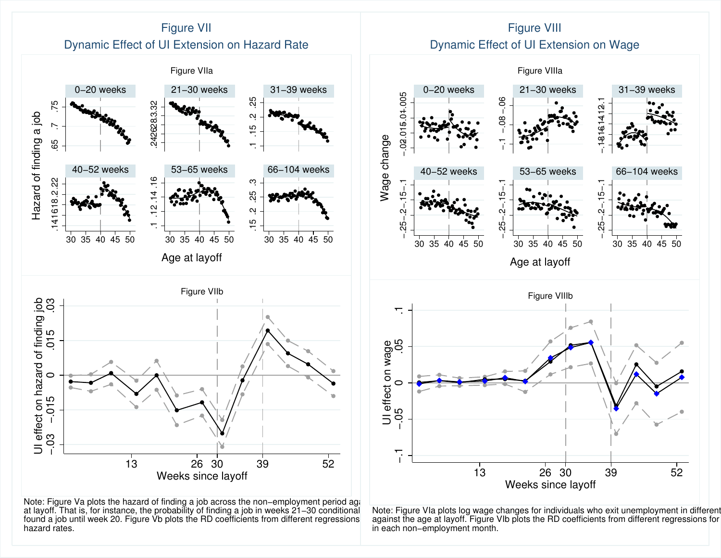

Note: Figure Va plots the hazard of finding a job across the non–employment period ag{international at layoff. That is, for instance, the probability of finding a job in weeks 21–30 conditional oNote: Figur found a job until week 20. Figure Vb plots the RD coefficients from different regressions  ${}^+$  against t hazard rates.

Note: Figure VIa plots log wage changes for individuals who exit unemployment in different<br>period the age at laveff. Figure VIb plots the PD coefficients from different regressions for in each non−employment month.against the age at layoff. Figure VIb plots the RD coefficients from different regressions for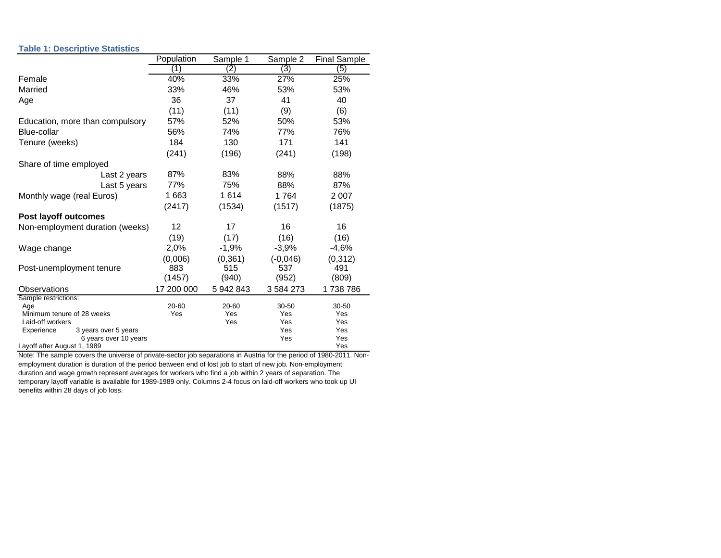#### **Table 1: Descriptive Statistics**

|                                                      | Population        | Sample 1          | Sample 2   | <b>Final Sample</b> |
|------------------------------------------------------|-------------------|-------------------|------------|---------------------|
|                                                      | ้1)               | $\left( 2\right)$ | (3)        | (5)                 |
| Female                                               | 40%               | 33%               | 27%        | 25%                 |
| Married                                              | 33%               | 46%               | 53%        | 53%                 |
| Age                                                  | 36                | 37                | 41         | 40                  |
|                                                      | (11)              | (11)              | (9)        | (6)                 |
| Education, more than compulsory                      | 57%               | 52%               | 50%        | 53%                 |
| Blue-collar                                          | 56%               | 74%               | 77%        | 76%                 |
| Tenure (weeks)                                       | 184               | 130               | 171        | 141                 |
|                                                      | (241)             | (196)             | (241)      | (198)               |
| Share of time employed                               |                   |                   |            |                     |
| Last 2 years                                         | 87%               | 83%               | 88%        | 88%                 |
| Last 5 years                                         | 77%               | 75%               | 88%        | 87%                 |
| Monthly wage (real Euros)                            | 1 663             | 1614              | 1764       | 2 0 0 7             |
|                                                      | (2417)            | (1534)            | (1517)     | (1875)              |
| <b>Post layoff outcomes</b>                          |                   |                   |            |                     |
| Non-employment duration (weeks)                      | $12 \overline{ }$ | 17                | 16         | 16                  |
|                                                      | (19)              | (17)              | (16)       | (16)                |
| Wage change                                          | 2,0%              | $-1,9%$           | $-3.9%$    | $-4,6%$             |
|                                                      | (0,006)           | (0, 361)          | $(-0,046)$ | (0, 312)            |
| Post-unemployment tenure                             | 883               | 515               | 537        | 491                 |
|                                                      | (1457)            | (940)             | (952)      | (809)               |
| Observations                                         | 17 200 000        | 5 942 843         | 3 584 273  | 1738786             |
| Sample restrictions:                                 | 20-60             | 20-60             | 30-50      | 30-50               |
| Age<br>Minimum tenure of 28 weeks                    | Yes               | Yes               | Yes        | Yes                 |
| Laid-off workers                                     |                   | Yes               | Yes        | Yes                 |
| Experience<br>3 years over 5 years                   |                   |                   | Yes        | Yes                 |
| 6 years over 10 years<br>Layoff after August 1, 1989 |                   |                   | Yes        | Yes<br>Yes          |

Note: The sample covers the universe of private-sector job separations in Austria for the period of 1980-2011. Nonemployment duration is duration of the period between end of lost job to start of new job. Non-employment duration and wage growth represent averages for workers who find a job within 2 years of separation. The temporary layoff variable is available for 1989-1989 only. Columns 2-4 focus on laid-off workers who took up UI benefits within 28 days of job loss.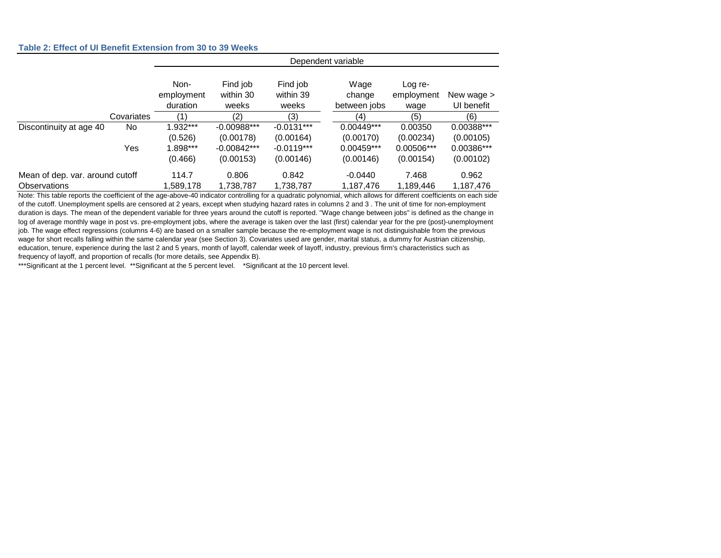#### **Table 2: Effect of UI Benefit Extension from 30 to 39 Weeks**

|                                 |            | Dependent variable             |                                |                                |                                |                               |                          |  |  |
|---------------------------------|------------|--------------------------------|--------------------------------|--------------------------------|--------------------------------|-------------------------------|--------------------------|--|--|
|                                 |            | Non-<br>employment<br>duration | Find job<br>within 30<br>weeks | Find job<br>within 39<br>weeks | Wage<br>change<br>between jobs | Log re-<br>employment<br>wage | New wage ><br>UI benefit |  |  |
|                                 | Covariates |                                | (2)                            | (3)                            | (4)                            | (5)                           | (6)                      |  |  |
| Discontinuity at age 40         | No.        | 1.932***                       | $-0.00988***$                  | $-0.0131***$                   | $0.00449***$                   | 0.00350                       | 0.00388***               |  |  |
|                                 |            | (0.526)                        | (0.00178)                      | (0.00164)                      | (0.00170)                      | (0.00234)                     | (0.00105)                |  |  |
|                                 | Yes        | 1.898***                       | $-0.00842***$                  | $-0.0119***$                   | $0.00459***$                   | 0.00506***                    | 0.00386***               |  |  |
|                                 |            | (0.466)                        | (0.00153)                      | (0.00146)                      | (0.00146)                      | (0.00154)                     | (0.00102)                |  |  |
| Mean of dep. var. around cutoff |            | 114.7                          | 0.806                          | 0.842                          | $-0.0440$                      | 7.468                         | 0.962                    |  |  |
| <b>Observations</b>             |            | 1,589,178                      | 1,738,787                      | 1,738,787                      | 1,187,476                      | 1,189,446                     | 1,187,476                |  |  |

Note: This table reports the coefficient of the age-above-40 indicator controlling for a quadratic polynomial, which allows for different coefficients on each side of the cutoff. Unemployment spells are censored at 2 years, except when studying hazard rates in columns 2 and 3 . The unit of time for non-employment duration is days. The mean of the dependent variable for three years around the cutoff is reported. "Wage change between jobs" is defined as the change in log of average monthly wage in post vs. pre-employment jobs, where the average is taken over the last (first) calendar year for the pre (post)-unemployment job. The wage effect regressions (columns 4-6) are based on a smaller sample because the re-employment wage is not distinguishable from the previous wage for short recalls falling within the same calendar year (see Section 3). Covariates used are gender, marital status, a dummy for Austrian citizenship, education, tenure, experience during the last 2 and 5 years, month of layoff, calendar week of layoff, industry, previous firm's characteristics such as frequency of layoff, and proportion of recalls (for more details, see Appendix B).

\*\*\*Significant at the 1 percent level. \*\*Significant at the 5 percent level. \*Significant at the 10 percent level.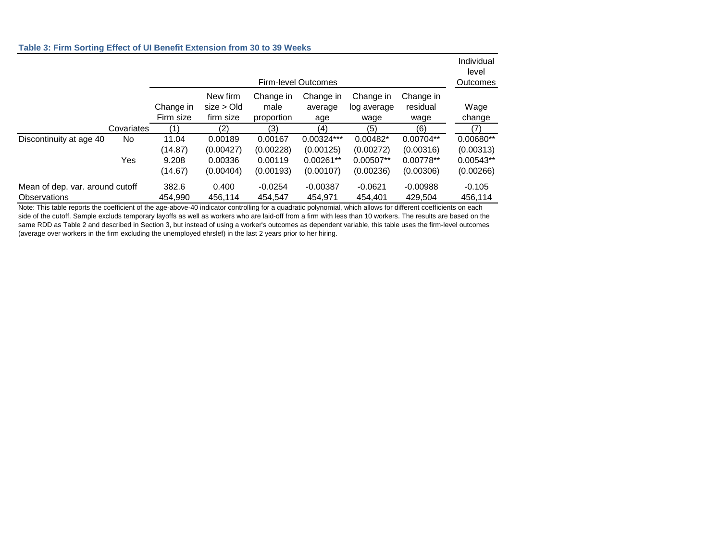#### **Table 3: Firm Sorting Effect of UI Benefit Extension from 30 to 39 Weeks**

|                                                        |                   | Firm-level Outcomes                  |                                              |                                              |                                                       |                                                   |                                                  | Individual<br>level<br>Outcomes                    |
|--------------------------------------------------------|-------------------|--------------------------------------|----------------------------------------------|----------------------------------------------|-------------------------------------------------------|---------------------------------------------------|--------------------------------------------------|----------------------------------------------------|
|                                                        |                   | Change in<br>Firm size               | New firm<br>size > Old<br>firm size          | Change in<br>male<br>proportion              | Change in<br>average<br>age                           | Change in<br>log average<br>wage                  | Change in<br>residual<br>wage                    | Wage<br>change                                     |
|                                                        | Covariates        | (1)                                  | (2)                                          | (3)                                          | (4)                                                   | (5)                                               | (6)                                              | (7)                                                |
| Discontinuity at age 40                                | No.<br><b>Yes</b> | 11.04<br>(14.87)<br>9.208<br>(14.67) | 0.00189<br>(0.00427)<br>0.00336<br>(0.00404) | 0.00167<br>(0.00228)<br>0.00119<br>(0.00193) | $0.00324***$<br>(0.00125)<br>$0.00261**$<br>(0.00107) | 0.00482*<br>(0.00272)<br>$0.00507**$<br>(0.00236) | 0.00704**<br>(0.00316)<br>0.00778**<br>(0.00306) | 0.00680**<br>(0.00313)<br>$0.00543**$<br>(0.00266) |
| Mean of dep. var. around cutoff<br><b>Observations</b> |                   | 382.6<br>454,990                     | 0.400<br>456,114                             | $-0.0254$<br>454,547                         | $-0.00387$<br>454,971                                 | $-0.0621$<br>454,401                              | $-0.00988$<br>429,504                            | $-0.105$<br>456,114                                |

Note: This table reports the coefficient of the age-above-40 indicator controlling for a quadratic polynomial, which allows for different coefficients on each side of the cutoff. Sample excluds temporary layoffs as well as workers who are laid-off from a firm with less than 10 workers. The results are based on the same RDD as Table 2 and described in Section 3, but instead of using a worker's outcomes as dependent variable, this table uses the firm-level outcomes (average over workers in the firm excluding the unemployed ehrslef) in the last 2 years prior to her hiring.